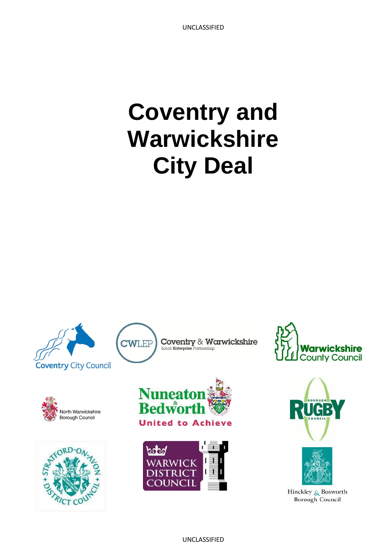# **Coventry and Warwickshire City Deal**









CWLEP



 $\underset{\text{Local Enterprise Patmentship}}{\text{Coverity}} \ \& \ \ \text{Warwickshire}$ 









Hinckley & Bosworth **Borough Council**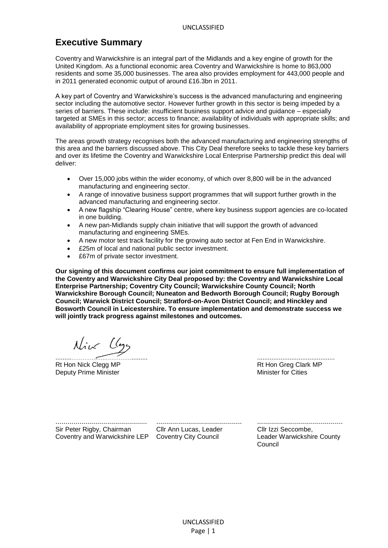# **Executive Summary**

Coventry and Warwickshire is an integral part of the Midlands and a key engine of growth for the United Kingdom. As a functional economic area Coventry and Warwickshire is home to 863,000 residents and some 35,000 businesses. The area also provides employment for 443,000 people and in 2011 generated economic output of around £16.3bn in 2011.

A key part of Coventry and Warwickshire's success is the advanced manufacturing and engineering sector including the automotive sector. However further growth in this sector is being impeded by a series of barriers. These include: insufficient business support advice and guidance – especially targeted at SMEs in this sector; access to finance; availability of individuals with appropriate skills; and availability of appropriate employment sites for growing businesses.

The areas growth strategy recognises both the advanced manufacturing and engineering strengths of this area and the barriers discussed above. This City Deal therefore seeks to tackle these key barriers and over its lifetime the Coventry and Warwickshire Local Enterprise Partnership predict this deal will deliver:

- Over 15,000 jobs within the wider economy, of which over 8,800 will be in the advanced manufacturing and engineering sector.
- A range of innovative business support programmes that will support further growth in the advanced manufacturing and engineering sector.
- A new flagship "Clearing House" centre, where key business support agencies are co-located in one building.
- A new pan-Midlands supply chain initiative that will support the growth of advanced manufacturing and engineering SMEs.
- A new motor test track facility for the growing auto sector at Fen End in Warwickshire.
- £25m of local and national public sector investment.
- £67m of private sector investment.

**Our signing of this document confirms our joint commitment to ensure full implementation of the Coventry and Warwickshire City Deal proposed by: the Coventry and Warwickshire Local Enterprise Partnership; Coventry City Council; Warwickshire County Council; North Warwickshire Borough Council; Nuneaton and Bedworth Borough Council; Rugby Borough Council; Warwick District Council; Stratford-on-Avon District Council; and Hinckley and Bosworth Council in Leicestershire. To ensure implementation and demonstrate success we will jointly track progress against milestones and outcomes.**

Nive (logg)

Rt Hon Nick Clegg MP **Rt Hon Greg Clark MP** Deputy Prime Minister Manuscript Communication of the Minister for Cities of American Minister for Cities of American Communication of the Minister for Cities of American Communication of the Minister of American Communica

.............................................. ........................................... Sir Peter Rigby, Chairman

Cllr Ann Lucas, Leader

........................................... Cllr Izzi Seccombe, Coventry and Warwickshire LEP Coventry City Council Leader Warwickshire County Council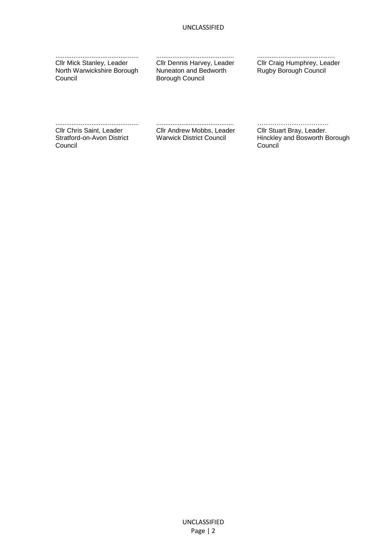.............................................. Cllr Mick Stanley, Leader North Warwickshire Borough Council

........................................... Cllr Dennis Harvey, Leader Nuneaton and Bedworth Borough Council

........................................... Cllr Craig Humphrey, Leader Rugby Borough Council

.............................................. Cllr Chris Saint, Leader Stratford-on-Avon District Council

........................................... Cllr Andrew Mobbs, Leader

…………………………… Cllr Stuart Bray, Leader. Warwick District Council Hinckley and Bosworth Borough Council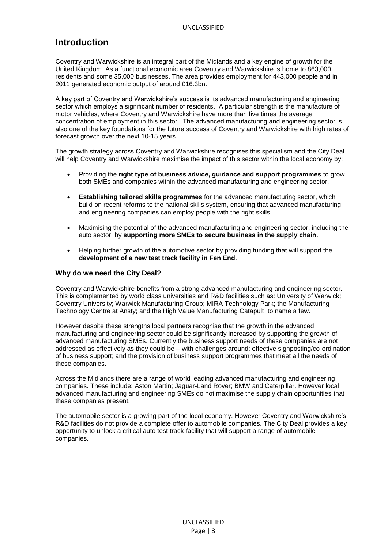## **Introduction**

Coventry and Warwickshire is an integral part of the Midlands and a key engine of growth for the United Kingdom. As a functional economic area Coventry and Warwickshire is home to 863,000 residents and some 35,000 businesses. The area provides employment for 443,000 people and in 2011 generated economic output of around £16.3bn.

A key part of Coventry and Warwickshire's success is its advanced manufacturing and engineering sector which employs a significant number of residents. A particular strength is the manufacture of motor vehicles, where Coventry and Warwickshire have more than five times the average concentration of employment in this sector. The advanced manufacturing and engineering sector is also one of the key foundations for the future success of Coventry and Warwickshire with high rates of forecast growth over the next 10-15 years.

The growth strategy across Coventry and Warwickshire recognises this specialism and the City Deal will help Coventry and Warwickshire maximise the impact of this sector within the local economy by:

- Providing the **right type of business advice, guidance and support programmes** to grow both SMEs and companies within the advanced manufacturing and engineering sector.
- **Establishing tailored skills programmes** for the advanced manufacturing sector, which build on recent reforms to the national skills system, ensuring that advanced manufacturing and engineering companies can employ people with the right skills.
- Maximising the potential of the advanced manufacturing and engineering sector, including the auto sector, by **supporting more SMEs to secure business in the supply chain**.
- Helping further growth of the automotive sector by providing funding that will support the **development of a new test track facility in Fen End**.

#### **Why do we need the City Deal?**

Coventry and Warwickshire benefits from a strong advanced manufacturing and engineering sector. This is complemented by world class universities and R&D facilities such as: University of Warwick; Coventry University; Warwick Manufacturing Group; MIRA Technology Park; the Manufacturing Technology Centre at Ansty; and the High Value Manufacturing Catapult to name a few.

However despite these strengths local partners recognise that the growth in the advanced manufacturing and engineering sector could be significantly increased by supporting the growth of advanced manufacturing SMEs. Currently the business support needs of these companies are not addressed as effectively as they could be – with challenges around: effective signposting/co-ordination of business support; and the provision of business support programmes that meet all the needs of these companies.

Across the Midlands there are a range of world leading advanced manufacturing and engineering companies. These include: Aston Martin; Jaguar-Land Rover; BMW and Caterpillar. However local advanced manufacturing and engineering SMEs do not maximise the supply chain opportunities that these companies present.

The automobile sector is a growing part of the local economy. However Coventry and Warwickshire's R&D facilities do not provide a complete offer to automobile companies. The City Deal provides a key opportunity to unlock a critical auto test track facility that will support a range of automobile companies.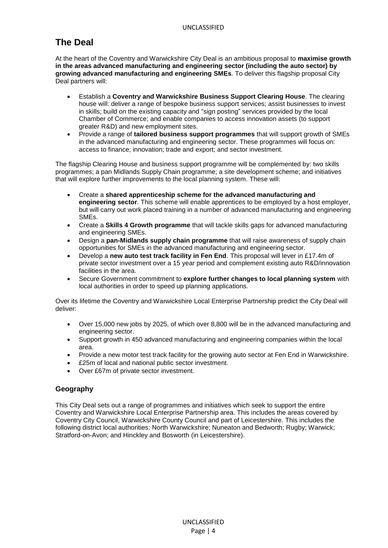# **The Deal**

At the heart of the Coventry and Warwickshire City Deal is an ambitious proposal to **maximise growth in the areas advanced manufacturing and engineering sector (including the auto sector) by growing advanced manufacturing and engineering SMEs**. To deliver this flagship proposal City Deal partners will:

- Establish a **Coventry and Warwickshire Business Support Clearing House**. The clearing house will: deliver a range of bespoke business support services; assist businesses to invest in skills; build on the existing capacity and "sign posting" services provided by the local Chamber of Commerce; and enable companies to access innovation assets (to support greater R&D) and new employment sites.
- Provide a range of **tailored business support programmes** that will support growth of SMEs in the advanced manufacturing and engineering sector. These programmes will focus on: access to finance; innovation; trade and export; and sector investment.

The flagship Clearing House and business support programme will be complemented by: two skills programmes; a pan Midlands Supply Chain programme; a site development scheme; and initiatives that will explore further improvements to the local planning system. These will:

- Create a **shared apprenticeship scheme for the advanced manufacturing and engineering sector**. This scheme will enable apprentices to be employed by a host employer, but will carry out work placed training in a number of advanced manufacturing and engineering SMEs.
- Create a **Skills 4 Growth programme** that will tackle skills gaps for advanced manufacturing and engineering SMEs.
- Design a **pan-Midlands supply chain programme** that will raise awareness of supply chain opportunities for SMEs in the advanced manufacturing and engineering sector.
- Develop a **new auto test track facility in Fen End**. This proposal will lever in £17.4m of private sector investment over a 15 year period and complement existing auto R&D/innovation facilities in the area.
- Secure Government commitment to **explore further changes to local planning system** with local authorities in order to speed up planning applications.

Over its lifetime the Coventry and Warwickshire Local Enterprise Partnership predict the City Deal will deliver:

- Over 15,000 new jobs by 2025, of which over 8,800 will be in the advanced manufacturing and engineering sector.
- Support growth in 450 advanced manufacturing and engineering companies within the local area.
- Provide a new motor test track facility for the growing auto sector at Fen End in Warwickshire.
- £25m of local and national public sector investment.
- Over £67m of private sector investment.

#### **Geography**

This City Deal sets out a range of programmes and initiatives which seek to support the entire Coventry and Warwickshire Local Enterprise Partnership area. This includes the areas covered by Coventry City Council, Warwickshire County Council and part of Leicestershire. This includes the following district local authorities: North Warwickshire; Nuneaton and Bedworth; Rugby; Warwick; Stratford-on-Avon; and Hinckley and Bosworth (in Leicestershire).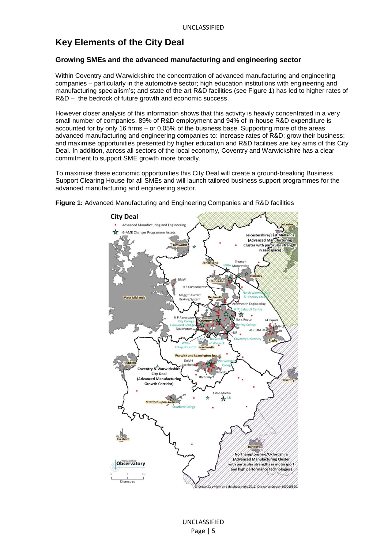# **Key Elements of the City Deal**

#### **Growing SMEs and the advanced manufacturing and engineering sector**

Within Coventry and Warwickshire the concentration of advanced manufacturing and engineering companies – particularly in the automotive sector; high education institutions with engineering and manufacturing specialism's; and state of the art R&D facilities (see Figure 1) has led to higher rates of R&D – the bedrock of future growth and economic success.

However closer analysis of this information shows that this activity is heavily concentrated in a very small number of companies. 89% of R&D employment and 94% of in-house R&D expenditure is accounted for by only 16 firms – or 0.05% of the business base. Supporting more of the areas advanced manufacturing and engineering companies to: increase rates of R&D; grow their business; and maximise opportunities presented by higher education and R&D facilities are key aims of this City Deal. In addition, across all sectors of the local economy, Coventry and Warwickshire has a clear commitment to support SME growth more broadly.

To maximise these economic opportunities this City Deal will create a ground-breaking Business Support Clearing House for all SMEs and will launch tailored business support programmes for the advanced manufacturing and engineering sector.



**Figure 1:** Advanced Manufacturing and Engineering Companies and R&D facilities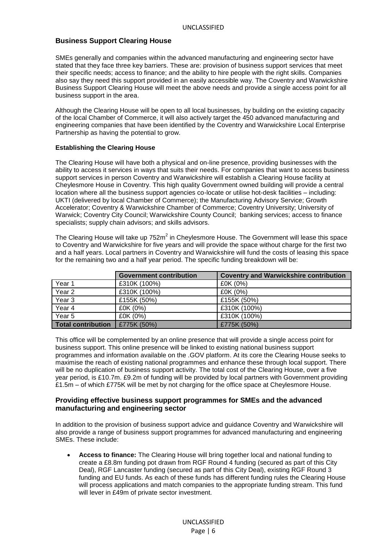#### **Business Support Clearing House**

SMEs generally and companies within the advanced manufacturing and engineering sector have stated that they face three key barriers. These are: provision of business support services that meet their specific needs; access to finance; and the ability to hire people with the right skills. Companies also say they need this support provided in an easily accessible way. The Coventry and Warwickshire Business Support Clearing House will meet the above needs and provide a single access point for all business support in the area.

Although the Clearing House will be open to all local businesses, by building on the existing capacity of the local Chamber of Commerce, it will also actively target the 450 advanced manufacturing and engineering companies that have been identified by the Coventry and Warwickshire Local Enterprise Partnership as having the potential to grow.

#### **Establishing the Clearing House**

The Clearing House will have both a physical and on-line presence, providing businesses with the ability to access it services in ways that suits their needs. For companies that want to access business support services in person Coventry and Warwickshire will establish a Clearing House facility at Cheylesmore House in Coventry. This high quality Government owned building will provide a central location where all the business support agencies co-locate or utilise hot-desk facilities – including: UKTI (delivered by local Chamber of Commerce); the Manufacturing Advisory Service; Growth Accelerator; Coventry & Warwickshire Chamber of Commerce; Coventry University; University of Warwick; Coventry City Council; Warwickshire County Council; banking services; access to finance specialists; supply chain advisors; and skills advisors.

The Clearing House will take up  $752m^2$  in Cheylesmore House. The Government will lease this space to Coventry and Warwickshire for five years and will provide the space without charge for the first two and a half years. Local partners in Coventry and Warwickshire will fund the costs of leasing this space for the remaining two and a half year period. The specific funding breakdown will be:

|                           | <b>Government contribution</b> | <b>Coventry and Warwickshire contribution</b> |
|---------------------------|--------------------------------|-----------------------------------------------|
| Year 1                    | £310K (100%)                   | £0K (0%)                                      |
| Year <sub>2</sub>         | £310K (100%)                   | £0K (0%)                                      |
| Year <sub>3</sub>         | £155K (50%)                    | £155K (50%)                                   |
| Year 4                    | £0K (0%)                       | £310K (100%)                                  |
| Year 5                    | £0K (0%)                       | £310K (100%)                                  |
| <b>Total contribution</b> | £775K (50%)                    | £775K (50%)                                   |

This office will be complemented by an online presence that will provide a single access point for business support. This online presence will be linked to existing national business support programmes and information available on the .GOV platform. At its core the Clearing House seeks to maximise the reach of existing national programmes and enhance these through local support. There will be no duplication of business support activity. The total cost of the Clearing House, over a five year period, is £10.7m. £9.2m of funding will be provided by local partners with Government providing £1.5m – of which £775K will be met by not charging for the office space at Cheylesmore House.

#### **Providing effective business support programmes for SMEs and the advanced manufacturing and engineering sector**

In addition to the provision of business support advice and guidance Coventry and Warwickshire will also provide a range of business support programmes for advanced manufacturing and engineering SMEs. These include:

 **Access to finance:** The Clearing House will bring together local and national funding to create a £8.8m funding pot drawn from RGF Round 4 funding (secured as part of this City Deal), RGF Lancaster funding (secured as part of this City Deal), existing RGF Round 3 funding and EU funds. As each of these funds has different funding rules the Clearing House will process applications and match companies to the appropriate funding stream. This fund will lever in £49m of private sector investment.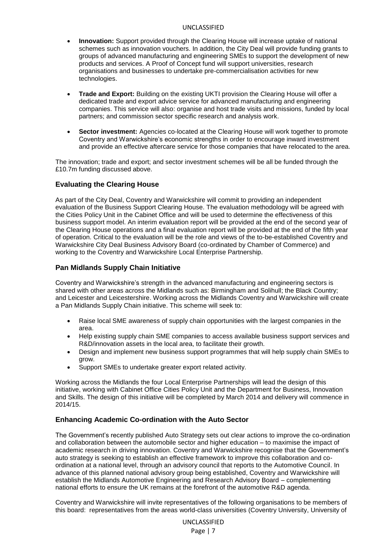- **Innovation:** Support provided through the Clearing House will increase uptake of national schemes such as innovation vouchers. In addition, the City Deal will provide funding grants to groups of advanced manufacturing and engineering SMEs to support the development of new products and services. A Proof of Concept fund will support universities, research organisations and businesses to undertake pre-commercialisation activities for new technologies.
- **Trade and Export:** Building on the existing UKTI provision the Clearing House will offer a dedicated trade and export advice service for advanced manufacturing and engineering companies. This service will also: organise and host trade visits and missions, funded by local partners; and commission sector specific research and analysis work.
- **Sector investment:** Agencies co-located at the Clearing House will work together to promote Coventry and Warwickshire's economic strengths in order to encourage inward investment and provide an effective aftercare service for those companies that have relocated to the area.

The innovation; trade and export; and sector investment schemes will be all be funded through the £10.7m funding discussed above.

#### **Evaluating the Clearing House**

As part of the City Deal, Coventry and Warwickshire will commit to providing an independent evaluation of the Business Support Clearing House. The evaluation methodology will be agreed with the Cities Policy Unit in the Cabinet Office and will be used to determine the effectiveness of this business support model. An interim evaluation report will be provided at the end of the second year of the Clearing House operations and a final evaluation report will be provided at the end of the fifth year of operation. Critical to the evaluation will be the role and views of the to-be-established Coventry and Warwickshire City Deal Business Advisory Board (co-ordinated by Chamber of Commerce) and working to the Coventry and Warwickshire Local Enterprise Partnership.

#### **Pan Midlands Supply Chain Initiative**

Coventry and Warwickshire's strength in the advanced manufacturing and engineering sectors is shared with other areas across the Midlands such as: Birmingham and Solihull; the Black Country; and Leicester and Leicestershire. Working across the Midlands Coventry and Warwickshire will create a Pan Midlands Supply Chain initiative. This scheme will seek to:

- Raise local SME awareness of supply chain opportunities with the largest companies in the area.
- Help existing supply chain SME companies to access available business support services and R&D/innovation assets in the local area, to facilitate their growth.
- Design and implement new business support programmes that will help supply chain SMEs to grow.
- Support SMEs to undertake greater export related activity.

Working across the Midlands the four Local Enterprise Partnerships will lead the design of this initiative, working with Cabinet Office Cities Policy Unit and the Department for Business, Innovation and Skills. The design of this initiative will be completed by March 2014 and delivery will commence in 2014/15.

#### **Enhancing Academic Co-ordination with the Auto Sector**

The Government's recently published Auto Strategy sets out clear actions to improve the co-ordination and collaboration between the automobile sector and higher education – to maximise the impact of academic research in driving innovation. Coventry and Warwickshire recognise that the Government's auto strategy is seeking to establish an effective framework to improve this collaboration and coordination at a national level, through an advisory council that reports to the Automotive Council. In advance of this planned national advisory group being established, Coventry and Warwickshire will establish the Midlands Automotive Engineering and Research Advisory Board – complementing national efforts to ensure the UK remains at the forefront of the automotive R&D agenda.

Coventry and Warwickshire will invite representatives of the following organisations to be members of this board: representatives from the areas world-class universities (Coventry University, University of

> UNCLASSIFIED Page | 7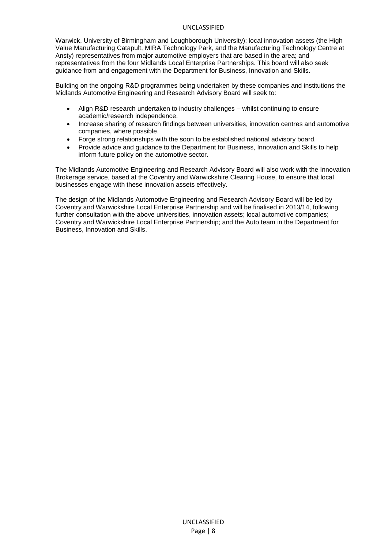Warwick, University of Birmingham and Loughborough University); local innovation assets (the High Value Manufacturing Catapult, MIRA Technology Park, and the Manufacturing Technology Centre at Ansty) representatives from major automotive employers that are based in the area; and representatives from the four Midlands Local Enterprise Partnerships. This board will also seek guidance from and engagement with the Department for Business, Innovation and Skills.

Building on the ongoing R&D programmes being undertaken by these companies and institutions the Midlands Automotive Engineering and Research Advisory Board will seek to:

- Align R&D research undertaken to industry challenges whilst continuing to ensure academic/research independence.
- Increase sharing of research findings between universities, innovation centres and automotive companies, where possible.
- Forge strong relationships with the soon to be established national advisory board.
- Provide advice and guidance to the Department for Business, Innovation and Skills to help inform future policy on the automotive sector.

The Midlands Automotive Engineering and Research Advisory Board will also work with the Innovation Brokerage service, based at the Coventry and Warwickshire Clearing House, to ensure that local businesses engage with these innovation assets effectively.

The design of the Midlands Automotive Engineering and Research Advisory Board will be led by Coventry and Warwickshire Local Enterprise Partnership and will be finalised in 2013/14, following further consultation with the above universities, innovation assets; local automotive companies; Coventry and Warwickshire Local Enterprise Partnership; and the Auto team in the Department for Business, Innovation and Skills.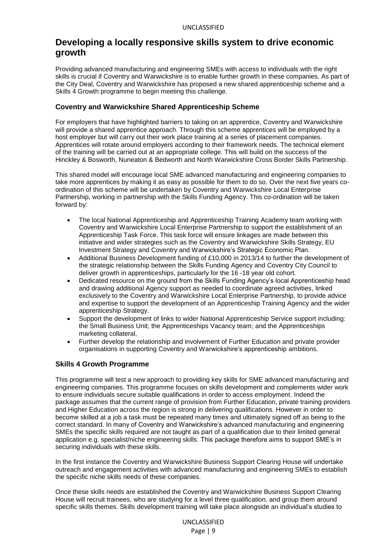## **Developing a locally responsive skills system to drive economic growth**

Providing advanced manufacturing and engineering SMEs with access to individuals with the right skills is crucial if Coventry and Warwickshire is to enable further growth in these companies. As part of the City Deal, Coventry and Warwickshire has proposed a new shared apprenticeship scheme and a Skills 4 Growth programme to begin meeting this challenge.

#### **Coventry and Warwickshire Shared Apprenticeship Scheme**

For employers that have highlighted barriers to taking on an apprentice, Coventry and Warwickshire will provide a shared apprentice approach. Through this scheme apprentices will be employed by a host employer but will carry out their work place training at a series of placement companies. Apprentices will rotate around employers according to their framework needs. The technical element of the training will be carried out at an appropriate college. This will build on the success of the Hinckley & Bosworth, Nuneaton & Bedworth and North Warwickshire Cross Border Skills Partnership.

This shared model will encourage local SME advanced manufacturing and engineering companies to take more apprentices by making it as easy as possible for them to do so. Over the next five years coordination of this scheme will be undertaken by Coventry and Warwickshire Local Enterprise Partnership, working in partnership with the Skills Funding Agency. This co-ordination will be taken forward by:

- The local National Apprenticeship and Apprenticeship Training Academy team working with Coventry and Warwickshire Local Enterprise Partnership to support the establishment of an Apprenticeship Task Force. This task force will ensure linkages are made between this initiative and wider strategies such as the Coventry and Warwickshire Skills Strategy, EU Investment Strategy and Coventry and Warwickshire's Strategic Economic Plan.
- Additional Business Development funding of £10,000 in 2013/14 to further the development of the strategic relationship between the Skills Funding Agency and Coventry City Council to deliver growth in apprenticeships, particularly for the 16 -18 year old cohort.
- Dedicated resource on the ground from the Skills Funding Agency's local Apprenticeship head and drawing additional Agency support as needed to coordinate agreed activities, linked exclusively to the Coventry and Warwickshire Local Enterprise Partnership, to provide advice and expertise to support the development of an Apprenticeship Training Agency and the wider apprenticeship Strategy.
- Support the development of links to wider National Apprenticeship Service support including: the Small Business Unit; the Apprenticeships Vacancy team; and the Apprenticeships marketing collateral.
- Further develop the relationship and involvement of Further Education and private provider organisations in supporting Coventry and Warwickshire's apprenticeship ambitions.

#### **Skills 4 Growth Programme**

This programme will test a new approach to providing key skills for SME advanced manufacturing and engineering companies. This programme focuses on skills development and complements wider work to ensure individuals secure suitable qualifications in order to access employment. Indeed the package assumes that the current range of provision from Further Education, private training providers and Higher Education across the region is strong in delivering qualifications. However in order to become skilled at a job a task must be repeated many times and ultimately signed off as being to the correct standard. In many of Coventry and Warwickshire's advanced manufacturing and engineering SMEs the specific skills required are not taught as part of a qualification due to their limited general application e.g. specialist/niche engineering skills. This package therefore aims to support SME's in securing individuals with these skills.

In the first instance the Coventry and Warwickshire Business Support Clearing House will undertake outreach and engagement activities with advanced manufacturing and engineering SMEs to establish the specific niche skills needs of these companies.

Once these skills needs are established the Coventry and Warwickshire Business Support Clearing House will recruit trainees, who are studying for a level three qualification, and group them around specific skills themes. Skills development training will take place alongside an individual's studies to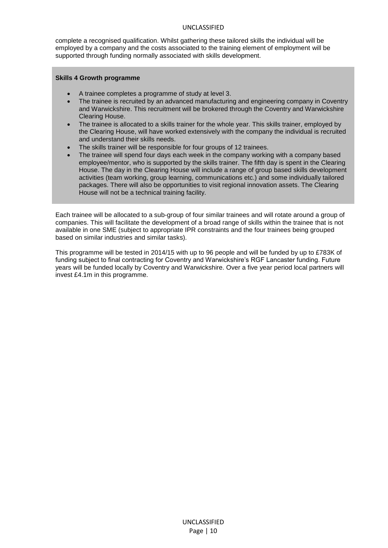complete a recognised qualification. Whilst gathering these tailored skills the individual will be employed by a company and the costs associated to the training element of employment will be supported through funding normally associated with skills development.

#### **Skills 4 Growth programme**

- A trainee completes a programme of study at level 3.
- The trainee is recruited by an advanced manufacturing and engineering company in Coventry and Warwickshire. This recruitment will be brokered through the Coventry and Warwickshire Clearing House.
- The trainee is allocated to a skills trainer for the whole year. This skills trainer, employed by the Clearing House, will have worked extensively with the company the individual is recruited and understand their skills needs.
- The skills trainer will be responsible for four groups of 12 trainees.
- The trainee will spend four days each week in the company working with a company based employee/mentor, who is supported by the skills trainer. The fifth day is spent in the Clearing House. The day in the Clearing House will include a range of group based skills development activities (team working, group learning, communications etc.) and some individually tailored packages. There will also be opportunities to visit regional innovation assets. The Clearing House will not be a technical training facility.

Each trainee will be allocated to a sub-group of four similar trainees and will rotate around a group of companies. This will facilitate the development of a broad range of skills within the trainee that is not available in one SME (subject to appropriate IPR constraints and the four trainees being grouped based on similar industries and similar tasks).

This programme will be tested in 2014/15 with up to 96 people and will be funded by up to £783K of funding subject to final contracting for Coventry and Warwickshire's RGF Lancaster funding. Future years will be funded locally by Coventry and Warwickshire. Over a five year period local partners will invest £4.1m in this programme.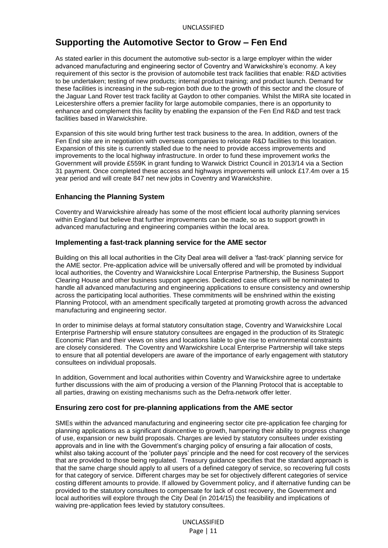## **Supporting the Automotive Sector to Grow – Fen End**

As stated earlier in this document the automotive sub-sector is a large employer within the wider advanced manufacturing and engineering sector of Coventry and Warwickshire's economy. A key requirement of this sector is the provision of automobile test track facilities that enable: R&D activities to be undertaken; testing of new products; internal product training; and product launch. Demand for these facilities is increasing in the sub-region both due to the growth of this sector and the closure of the Jaguar Land Rover test track facility at Gaydon to other companies. Whilst the MIRA site located in Leicestershire offers a premier facility for large automobile companies, there is an opportunity to enhance and complement this facility by enabling the expansion of the Fen End R&D and test track facilities based in Warwickshire.

Expansion of this site would bring further test track business to the area. In addition, owners of the Fen End site are in negotiation with overseas companies to relocate R&D facilities to this location. Expansion of this site is currently stalled due to the need to provide access improvements and improvements to the local highway infrastructure. In order to fund these improvement works the Government will provide £559K in grant funding to Warwick District Council in 2013/14 via a Section 31 payment. Once completed these access and highways improvements will unlock £17.4m over a 15 year period and will create 847 net new jobs in Coventry and Warwickshire.

#### **Enhancing the Planning System**

Coventry and Warwickshire already has some of the most efficient local authority planning services within England but believe that further improvements can be made, so as to support growth in advanced manufacturing and engineering companies within the local area.

#### **Implementing a fast-track planning service for the AME sector**

Building on this all local authorities in the City Deal area will deliver a 'fast-track' planning service for the AME sector. Pre-application advice will be universally offered and will be promoted by individual local authorities, the Coventry and Warwickshire Local Enterprise Partnership, the Business Support Clearing House and other business support agencies. Dedicated case officers will be nominated to handle all advanced manufacturing and engineering applications to ensure consistency and ownership across the participating local authorities. These commitments will be enshrined within the existing Planning Protocol, with an amendment specifically targeted at promoting growth across the advanced manufacturing and engineering sector.

In order to minimise delays at formal statutory consultation stage, Coventry and Warwickshire Local Enterprise Partnership will ensure statutory consultees are engaged in the production of its Strategic Economic Plan and their views on sites and locations liable to give rise to environmental constraints are closely considered. The Coventry and Warwickshire Local Enterprise Partnership will take steps to ensure that all potential developers are aware of the importance of early engagement with statutory consultees on individual proposals.

In addition, Government and local authorities within Coventry and Warwickshire agree to undertake further discussions with the aim of producing a version of the Planning Protocol that is acceptable to all parties, drawing on existing mechanisms such as the Defra network offer letter.

#### **Ensuring zero cost for pre-planning applications from the AME sector**

SMEs within the advanced manufacturing and engineering sector cite pre-application fee charging for planning applications as a significant disincentive to growth, hampering their ability to progress change of use, expansion or new build proposals. Charges are levied by statutory consultees under existing approvals and in line with the Government's charging policy of ensuring a fair allocation of costs, whilst also taking account of the 'polluter pays' principle and the need for cost recovery of the services that are provided to those being regulated. Treasury guidance specifies that the standard approach is that the same charge should apply to all users of a defined category of service, so recovering full costs for that category of service. Different charges may be set for objectively different categories of service costing different amounts to provide. If allowed by Government policy, and if alternative funding can be provided to the statutory consultees to compensate for lack of cost recovery, the Government and local authorities will explore through the City Deal (in 2014/15) the feasibility and implications of waiving pre-application fees levied by statutory consultees.

> UNCLASSIFIED Page | 11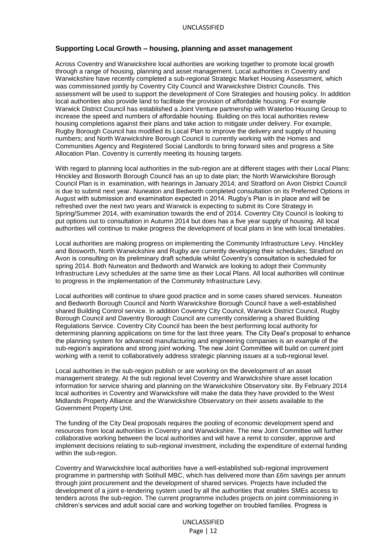#### **Supporting Local Growth – housing, planning and asset management**

Across Coventry and Warwickshire local authorities are working together to promote local growth through a range of housing, planning and asset management. Local authorities in Coventry and Warwickshire have recently completed a sub-regional Strategic Market Housing Assessment, which was commissioned jointly by Coventry City Council and Warwickshire District Councils. This assessment will be used to support the development of Core Strategies and housing policy. In addition local authorities also provide land to facilitate the provision of affordable housing. For example Warwick District Council has established a Joint Venture partnership with Waterloo Housing Group to increase the speed and numbers of affordable housing. Building on this local authorities review housing completions against their plans and take action to mitigate under delivery. For example, Rugby Borough Council has modified its Local Plan to improve the delivery and supply of housing numbers; and North Warwickshire Borough Council is currently working with the Homes and Communities Agency and Registered Social Landlords to bring forward sites and progress a Site Allocation Plan. Coventry is currently meeting its housing targets.

With regard to planning local authorities in the sub-region are at different stages with their Local Plans: Hinckley and Bosworth Borough Council has an up to date plan; the North Warwickshire Borough Council Plan is in examination, with hearings in January 2014; and Stratford on Avon District Council is due to submit next year. Nuneaton and Bedworth completed consultation on its Preferred Options in August with submission and examination expected in 2014. Rugby's Plan is in place and will be refreshed over the next two years and Warwick is expecting to submit its Core Strategy in Spring/Summer 2014, with examination towards the end of 2014. Coventry City Council is looking to put options out to consultation in Autumn 2014 but does has a five year supply of housing. All local authorities will continue to make progress the development of local plans in line with local timetables.

Local authorities are making progress on implementing the Community Infrastructure Levy. Hinckley and Bosworth, North Warwickshire and Rugby are currently developing their schedules; Stratford on Avon is consulting on its preliminary draft schedule whilst Coventry's consultation is scheduled for spring 2014. Both Nuneaton and Bedworth and Warwick are looking to adopt their Community Infrastructure Levy schedules at the same time as their Local Plans. All local authorities will continue to progress in the implementation of the Community Infrastructure Levy.

Local authorities will continue to share good practice and in some cases shared services. Nuneaton and Bedworth Borough Council and North Warwickshire Borough Council have a well-established shared Building Control service. In addition Coventry City Council, Warwick District Council, Rugby Borough Council and Daventry Borough Council are currently considering a shared Building Regulations Service. Coventry City Council has been the best performing local authority for determining planning applications on time for the last three years. The City Deal's proposal to enhance the planning system for advanced manufacturing and engineering companies is an example of the sub-region's aspirations and strong joint working. The new Joint Committee will build on current joint working with a remit to collaboratively address strategic planning issues at a sub-regional level.

Local authorities in the sub-region publish or are working on the development of an asset management strategy. At the sub regional level Coventry and Warwickshire share asset location information for service sharing and planning on the Warwickshire Observatory site. By February 2014 local authorities in Coventry and Warwickshire will make the data they have provided to the West Midlands Property Alliance and the Warwickshire Observatory on their assets available to the Government Property Unit.

The funding of the City Deal proposals requires the pooling of economic development spend and resources from local authorities in Coventry and Warwickshire. The new Joint Committee will further collaborative working between the local authorities and will have a remit to consider, approve and implement decisions relating to sub-regional investment, including the expenditure of external funding within the sub-region.

Coventry and Warwickshire local authorities have a well-established sub-regional improvement programme in partnership with Solihull MBC, which has delivered more than £6m savings per annum through joint procurement and the development of shared services. Projects have included the development of a joint e-tendering system used by all the authorities that enables SMEs access to tenders across the sub-region. The current programme includes projects on joint commissioning in children's services and adult social care and working together on troubled families. Progress is

> UNCLASSIFIED Page | 12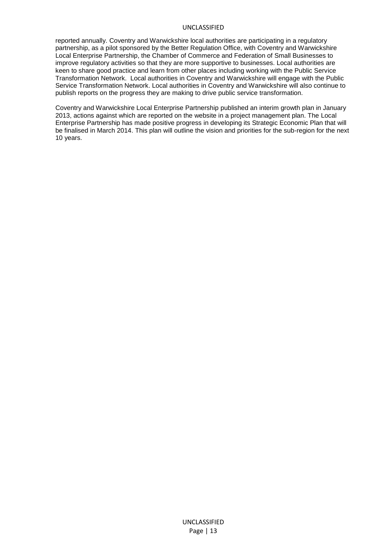reported annually. Coventry and Warwickshire local authorities are participating in a regulatory partnership, as a pilot sponsored by the Better Regulation Office, with Coventry and Warwickshire Local Enterprise Partnership, the Chamber of Commerce and Federation of Small Businesses to improve regulatory activities so that they are more supportive to businesses. Local authorities are keen to share good practice and learn from other places including working with the Public Service Transformation Network. Local authorities in Coventry and Warwickshire will engage with the Public Service Transformation Network. Local authorities in Coventry and Warwickshire will also continue to publish reports on the progress they are making to drive public service transformation.

Coventry and Warwickshire Local Enterprise Partnership published an interim growth plan in January 2013, actions against which are reported on the website in a project management plan. The Local Enterprise Partnership has made positive progress in developing its Strategic Economic Plan that will be finalised in March 2014. This plan will outline the vision and priorities for the sub-region for the next 10 years.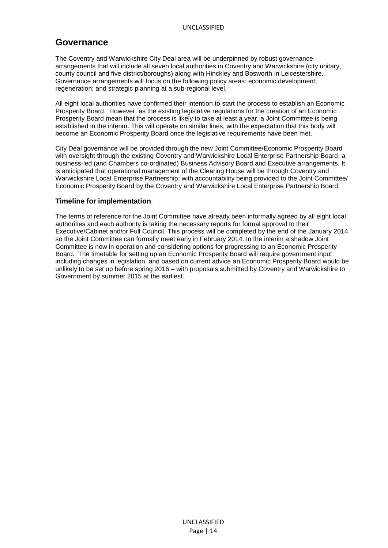## **Governance**

The Coventry and Warwickshire City Deal area will be underpinned by robust governance arrangements that will include all seven local authorities in Coventry and Warwickshire (city unitary, county council and five district/boroughs) along with Hinckley and Bosworth in Leicestershire. Governance arrangements will focus on the following policy areas: economic development; regeneration; and strategic planning at a sub-regional level.

All eight local authorities have confirmed their intention to start the process to establish an Economic Prosperity Board. However, as the existing legislative regulations for the creation of an Economic Prosperity Board mean that the process is likely to take at least a year, a Joint Committee is being established in the interim. This will operate on similar lines, with the expectation that this body will become an Economic Prosperity Board once the legislative requirements have been met.

City Deal governance will be provided through the new Joint Committee/Economic Prosperity Board with oversight through the existing Coventry and Warwickshire Local Enterprise Partnership Board, a business-led (and Chambers co-ordinated) Business Advisory Board and Executive arrangements. It is anticipated that operational management of the Clearing House will be through Coventry and Warwickshire Local Enterprise Partnership; with accountability being provided to the Joint Committee/ Economic Prosperity Board by the Coventry and Warwickshire Local Enterprise Partnership Board.

#### **Timeline for implementation**.

The terms of reference for the Joint Committee have already been informally agreed by all eight local authorities and each authority is taking the necessary reports for formal approval to their Executive/Cabinet and/or Full Council. This process will be completed by the end of the January 2014 so the Joint Committee can formally meet early in February 2014. In the interim a shadow Joint Committee is now in operation and considering options for progressing to an Economic Prosperity Board. The timetable for setting up an Economic Prosperity Board will require government input including changes in legislation, and based on current advice an Economic Prosperity Board would be unlikely to be set up before spring 2016 – with proposals submitted by Coventry and Warwickshire to Government by summer 2015 at the earliest.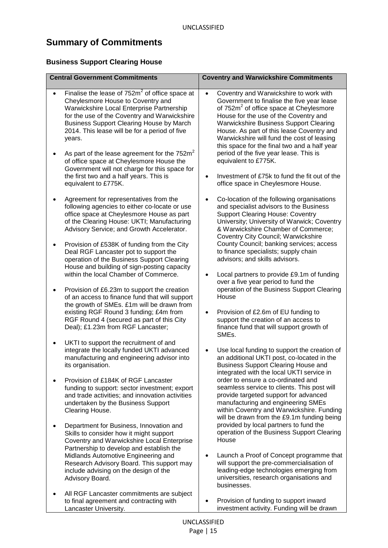# **Summary of Commitments**

## **Business Support Clearing House**

| <b>Central Government Commitments</b>                                                                                                                                                                                                                                                                                                                                                                                                                                                        | <b>Coventry and Warwickshire Commitments</b>                                                                                                                                                                                                                                                                                                                                                                                                                                                                     |  |  |
|----------------------------------------------------------------------------------------------------------------------------------------------------------------------------------------------------------------------------------------------------------------------------------------------------------------------------------------------------------------------------------------------------------------------------------------------------------------------------------------------|------------------------------------------------------------------------------------------------------------------------------------------------------------------------------------------------------------------------------------------------------------------------------------------------------------------------------------------------------------------------------------------------------------------------------------------------------------------------------------------------------------------|--|--|
| Finalise the lease of $752m^2$ of office space at<br>Cheylesmore House to Coventry and<br>Warwickshire Local Enterprise Partnership<br>for the use of the Coventry and Warwickshire<br><b>Business Support Clearing House by March</b><br>2014. This lease will be for a period of five<br>years.<br>As part of the lease agreement for the $752m^2$<br>of office space at Cheylesmore House the<br>Government will not charge for this space for<br>the first two and a half years. This is | Coventry and Warwickshire to work with<br>$\bullet$<br>Government to finalise the five year lease<br>of 752m <sup>2</sup> of office space at Cheylesmore<br>House for the use of the Coventry and<br><b>Warwickshire Business Support Clearing</b><br>House. As part of this lease Coventry and<br>Warwickshire will fund the cost of leasing<br>this space for the final two and a half year<br>period of the five year lease. This is<br>equivalent to £775K.<br>Investment of £75k to fund the fit out of the |  |  |
| equivalent to £775K.<br>Agreement for representatives from the<br>following agencies to either co-locate or use<br>office space at Cheylesmore House as part<br>of the Clearing House: UKTI; Manufacturing<br>Advisory Service; and Growth Accelerator.                                                                                                                                                                                                                                      | office space in Cheylesmore House.<br>Co-location of the following organisations<br>and specialist advisors to the Business<br><b>Support Clearing House: Coventry</b><br>University; University of Warwick; Coventry<br>& Warwickshire Chamber of Commerce;                                                                                                                                                                                                                                                     |  |  |
| Provision of £538K of funding from the City<br>٠<br>Deal RGF Lancaster pot to support the<br>operation of the Business Support Clearing<br>House and building of sign-posting capacity<br>within the local Chamber of Commerce.                                                                                                                                                                                                                                                              | Coventry City Council; Warwickshire<br>County Council; banking services; access<br>to finance specialists; supply chain<br>advisors; and skills advisors.<br>Local partners to provide £9.1m of funding<br>$\bullet$                                                                                                                                                                                                                                                                                             |  |  |
| Provision of £6.23m to support the creation<br>of an access to finance fund that will support<br>the growth of SMEs. £1m will be drawn from<br>existing RGF Round 3 funding; £4m from<br>RGF Round 4 (secured as part of this City<br>Deal); £1.23m from RGF Lancaster;                                                                                                                                                                                                                      | over a five year period to fund the<br>operation of the Business Support Clearing<br>House<br>Provision of £2.6m of EU funding to<br>$\bullet$<br>support the creation of an access to<br>finance fund that will support growth of<br>SMEs.                                                                                                                                                                                                                                                                      |  |  |
| UKTI to support the recruitment of and<br>integrate the locally funded UKTI advanced<br>manufacturing and engineering advisor into<br>its organisation.                                                                                                                                                                                                                                                                                                                                      | Use local funding to support the creation of<br>$\bullet$<br>an additional UKTI post, co-located in the<br><b>Business Support Clearing House and</b><br>integrated with the local UKTI service in                                                                                                                                                                                                                                                                                                               |  |  |
| Provision of £184K of RGF Lancaster<br>funding to support: sector investment; export<br>and trade activities; and innovation activities<br>undertaken by the Business Support<br>Clearing House.                                                                                                                                                                                                                                                                                             | order to ensure a co-ordinated and<br>seamless service to clients. This post will<br>provide targeted support for advanced<br>manufacturing and engineering SMEs<br>within Coventry and Warwickshire. Funding<br>will be drawn from the £9.1m funding being                                                                                                                                                                                                                                                      |  |  |
| Department for Business, Innovation and<br>Skills to consider how it might support<br>Coventry and Warwickshire Local Enterprise<br>Partnership to develop and establish the<br>Midlands Automotive Engineering and<br>Research Advisory Board. This support may<br>include advising on the design of the<br>Advisory Board.                                                                                                                                                                 | provided by local partners to fund the<br>operation of the Business Support Clearing<br>House<br>Launch a Proof of Concept programme that<br>$\bullet$<br>will support the pre-commercialisation of<br>leading-edge technologies emerging from<br>universities, research organisations and                                                                                                                                                                                                                       |  |  |
| All RGF Lancaster commitments are subject<br>to final agreement and contracting with<br>Lancaster University.                                                                                                                                                                                                                                                                                                                                                                                | businesses.<br>Provision of funding to support inward<br>investment activity. Funding will be drawn                                                                                                                                                                                                                                                                                                                                                                                                              |  |  |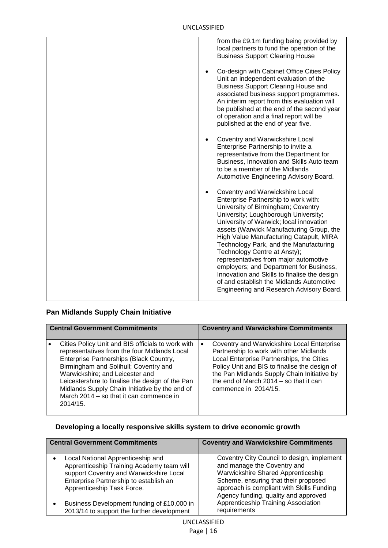| from the £9.1m funding being provided by<br>local partners to fund the operation of the<br><b>Business Support Clearing House</b>                                                                                                                                                                                                                                                                                                                                                                                                                                                             |
|-----------------------------------------------------------------------------------------------------------------------------------------------------------------------------------------------------------------------------------------------------------------------------------------------------------------------------------------------------------------------------------------------------------------------------------------------------------------------------------------------------------------------------------------------------------------------------------------------|
| Co-design with Cabinet Office Cities Policy<br>$\bullet$<br>Unit an independent evaluation of the<br><b>Business Support Clearing House and</b><br>associated business support programmes.<br>An interim report from this evaluation will<br>be published at the end of the second year<br>of operation and a final report will be<br>published at the end of year five.                                                                                                                                                                                                                      |
| Coventry and Warwickshire Local<br>Enterprise Partnership to invite a<br>representative from the Department for<br>Business, Innovation and Skills Auto team<br>to be a member of the Midlands<br>Automotive Engineering Advisory Board.                                                                                                                                                                                                                                                                                                                                                      |
| Coventry and Warwickshire Local<br>Enterprise Partnership to work with:<br>University of Birmingham; Coventry<br>University; Loughborough University;<br>University of Warwick; local innovation<br>assets (Warwick Manufacturing Group, the<br>High Value Manufacturing Catapult, MIRA<br>Technology Park, and the Manufacturing<br>Technology Centre at Ansty);<br>representatives from major automotive<br>employers; and Department for Business,<br>Innovation and Skills to finalise the design<br>of and establish the Midlands Automotive<br>Engineering and Research Advisory Board. |
|                                                                                                                                                                                                                                                                                                                                                                                                                                                                                                                                                                                               |

# **Pan Midlands Supply Chain Initiative**

| <b>Central Government Commitments</b> |                                                                                                                                                                                                                                                                                                                                                                                       | <b>Coventry and Warwickshire Commitments</b> |                                                                                                                                                                                                                                                                                                      |
|---------------------------------------|---------------------------------------------------------------------------------------------------------------------------------------------------------------------------------------------------------------------------------------------------------------------------------------------------------------------------------------------------------------------------------------|----------------------------------------------|------------------------------------------------------------------------------------------------------------------------------------------------------------------------------------------------------------------------------------------------------------------------------------------------------|
|                                       |                                                                                                                                                                                                                                                                                                                                                                                       |                                              |                                                                                                                                                                                                                                                                                                      |
|                                       | Cities Policy Unit and BIS officials to work with<br>representatives from the four Midlands Local<br>Enterprise Partnerships (Black Country,<br>Birmingham and Solihull; Coventry and<br>Warwickshire; and Leicester and<br>Leicestershire to finalise the design of the Pan<br>Midlands Supply Chain Initiative by the end of<br>March 2014 – so that it can commence in<br>2014/15. | $\bullet$                                    | Coventry and Warwickshire Local Enterprise<br>Partnership to work with other Midlands<br>Local Enterprise Partnerships, the Cities<br>Policy Unit and BIS to finalise the design of<br>the Pan Midlands Supply Chain Initiative by<br>the end of March 2014 - so that it can<br>commence in 2014/15. |

## **Developing a locally responsive skills system to drive economic growth**

| <b>Central Government Commitments</b>                                                                                                                                                                          | <b>Coventry and Warwickshire Commitments</b>                                                                                                                                                                                                 |  |
|----------------------------------------------------------------------------------------------------------------------------------------------------------------------------------------------------------------|----------------------------------------------------------------------------------------------------------------------------------------------------------------------------------------------------------------------------------------------|--|
| Local National Apprenticeship and<br>$\bullet$<br>Apprenticeship Training Academy team will<br>support Coventry and Warwickshire Local<br>Enterprise Partnership to establish an<br>Apprenticeship Task Force. | Coventry City Council to design, implement<br>and manage the Coventry and<br>Warwickshire Shared Apprenticeship<br>Scheme, ensuring that their proposed<br>approach is compliant with Skills Funding<br>Agency funding, quality and approved |  |
| Business Development funding of £10,000 in<br>$\bullet$<br>2013/14 to support the further development                                                                                                          | Apprenticeship Training Association<br>requirements                                                                                                                                                                                          |  |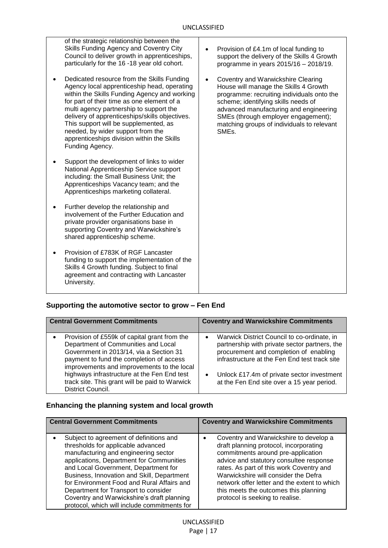| of the strategic relationship between the<br>Skills Funding Agency and Coventry City<br>Council to deliver growth in apprenticeships,<br>particularly for the 16-18 year old cohort.                                                                                                                                                                                                                                                             | Provision of £4.1m of local funding to<br>support the delivery of the Skills 4 Growth<br>programme in years 2015/16 - 2018/19.                                                                                                                                                                                        |
|--------------------------------------------------------------------------------------------------------------------------------------------------------------------------------------------------------------------------------------------------------------------------------------------------------------------------------------------------------------------------------------------------------------------------------------------------|-----------------------------------------------------------------------------------------------------------------------------------------------------------------------------------------------------------------------------------------------------------------------------------------------------------------------|
| Dedicated resource from the Skills Funding<br>$\bullet$<br>Agency local apprenticeship head, operating<br>within the Skills Funding Agency and working<br>for part of their time as one element of a<br>multi agency partnership to support the<br>delivery of apprenticeships/skills objectives.<br>This support will be supplemented, as<br>needed, by wider support from the<br>apprenticeships division within the Skills<br>Funding Agency. | Coventry and Warwickshire Clearing<br>House will manage the Skills 4 Growth<br>programme: recruiting individuals onto the<br>scheme; identifying skills needs of<br>advanced manufacturing and engineering<br>SMEs (through employer engagement);<br>matching groups of individuals to relevant<br>SME <sub>s</sub> . |
| Support the development of links to wider<br>$\bullet$<br>National Apprenticeship Service support<br>including: the Small Business Unit; the<br>Apprenticeships Vacancy team; and the<br>Apprenticeships marketing collateral.                                                                                                                                                                                                                   |                                                                                                                                                                                                                                                                                                                       |
| Further develop the relationship and<br>٠<br>involvement of the Further Education and<br>private provider organisations base in<br>supporting Coventry and Warwickshire's<br>shared apprenticeship scheme.                                                                                                                                                                                                                                       |                                                                                                                                                                                                                                                                                                                       |
| Provision of £783K of RGF Lancaster<br>funding to support the implementation of the<br>Skills 4 Growth funding. Subject to final<br>agreement and contracting with Lancaster<br>University.                                                                                                                                                                                                                                                      |                                                                                                                                                                                                                                                                                                                       |

# **Supporting the automotive sector to grow – Fen End**

| <b>Central Government Commitments</b>                                                                                                                                                                                                                                                                                                          | <b>Coventry and Warwickshire Commitments</b>                                                                                                                                                                                                                                        |  |
|------------------------------------------------------------------------------------------------------------------------------------------------------------------------------------------------------------------------------------------------------------------------------------------------------------------------------------------------|-------------------------------------------------------------------------------------------------------------------------------------------------------------------------------------------------------------------------------------------------------------------------------------|--|
| Provision of £559k of capital grant from the<br>Department of Communities and Local<br>Government in 2013/14, via a Section 31<br>payment to fund the completion of access<br>improvements and improvements to the local<br>highways infrastructure at the Fen End test<br>track site. This grant will be paid to Warwick<br>District Council. | Warwick District Council to co-ordinate, in<br>partnership with private sector partners, the<br>procurement and completion of enabling<br>infrastructure at the Fen End test track site<br>Unlock £17.4m of private sector investment<br>at the Fen End site over a 15 year period. |  |

# **Enhancing the planning system and local growth**

| <b>Central Government Commitments</b>                                                                                                                                                                                                                                                                                                                                                                                                       | <b>Coventry and Warwickshire Commitments</b>                                                                                                                                                                                                                                                                                                                                      |  |
|---------------------------------------------------------------------------------------------------------------------------------------------------------------------------------------------------------------------------------------------------------------------------------------------------------------------------------------------------------------------------------------------------------------------------------------------|-----------------------------------------------------------------------------------------------------------------------------------------------------------------------------------------------------------------------------------------------------------------------------------------------------------------------------------------------------------------------------------|--|
| Subject to agreement of definitions and<br>thresholds for applicable advanced<br>manufacturing and engineering sector<br>applications, Department for Communities<br>and Local Government, Department for<br>Business, Innovation and Skill, Department<br>for Environment Food and Rural Affairs and<br>Department for Transport to consider<br>Coventry and Warwickshire's draft planning<br>protocol, which will include commitments for | Coventry and Warwickshire to develop a<br>draft planning protocol, incorporating<br>commitments around pre-application<br>advice and statutory consultee response<br>rates. As part of this work Coventry and<br>Warwickshire will consider the Defra<br>network offer letter and the extent to which<br>this meets the outcomes this planning<br>protocol is seeking to realise. |  |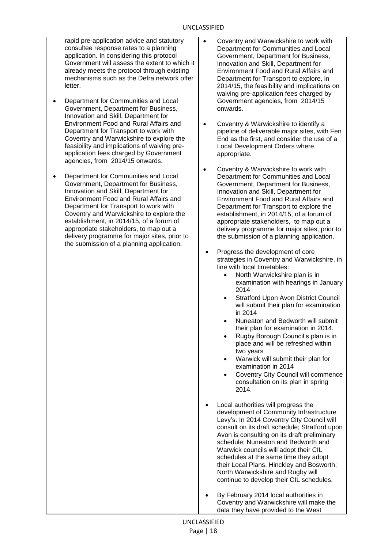rapid pre-application advice and statutory consultee response rates to a planning application. In considering this protocol Government will assess the extent to which it already meets the protocol through existing mechanisms such as the Defra network offer letter.

- Department for Communities and Local Government, Department for Business, Innovation and Skill, Department for Environment Food and Rural Affairs and Department for Transport to work with Coventry and Warwickshire to explore the feasibility and implications of waiving preapplication fees charged by Government agencies, from 2014/15 onwards.
- Department for Communities and Local Government, Department for Business, Innovation and Skill, Department for Environment Food and Rural Affairs and Department for Transport to work with Coventry and Warwickshire to explore the establishment, in 2014/15, of a forum of appropriate stakeholders, to map out a delivery programme for major sites, prior to the submission of a planning application.
- Coventry and Warwickshire to work with Department for Communities and Local Government, Department for Business, Innovation and Skill, Department for Environment Food and Rural Affairs and Department for Transport to explore, in 2014/15, the feasibility and implications on waiving pre-application fees charged by Government agencies, from 2014/15 onwards.
- Coventry & Warwickshire to identify a pipeline of deliverable major sites, with Fen End as the first, and consider the use of a Local Development Orders where appropriate.
- Coventry & Warwickshire to work with Department for Communities and Local Government, Department for Business, Innovation and Skill, Department for Environment Food and Rural Affairs and Department for Transport to explore the establishment, in 2014/15, of a forum of appropriate stakeholders, to map out a delivery programme for major sites, prior to the submission of a planning application.
- Progress the development of core strategies in Coventry and Warwickshire, in line with local timetables:
	- North Warwickshire plan is in examination with hearings in January 2014
	- Stratford Upon Avon District Council will submit their plan for examination in 2014
	- Nuneaton and Bedworth will submit their plan for examination in 2014.
	- Rugby Borough Council's plan is in place and will be refreshed within two years
	- Warwick will submit their plan for examination in 2014
	- Coventry City Council will commence consultation on its plan in spring 2014.
- Local authorities will progress the development of Community Infrastructure Levy's. In 2014 Coventry City Council will consult on its draft schedule; Stratford upon Avon is consulting on its draft preliminary schedule; Nuneaton and Bedworth and Warwick councils will adopt their CIL schedules at the same time they adopt their Local Plans. Hinckley and Bosworth; North Warwickshire and Rugby will continue to develop their CIL schedules.
- By February 2014 local authorities in Coventry and Warwickshire will make the data they have provided to the West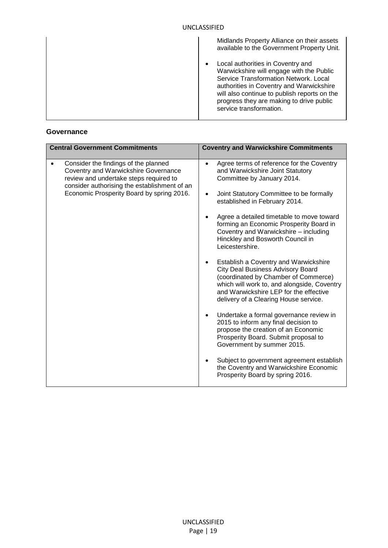| Midlands Property Alliance on their assets<br>available to the Government Property Unit.                                                                                                                                                                                                  |
|-------------------------------------------------------------------------------------------------------------------------------------------------------------------------------------------------------------------------------------------------------------------------------------------|
| Local authorities in Coventry and<br>Warwickshire will engage with the Public<br>Service Transformation Network, Local<br>authorities in Coventry and Warwickshire<br>will also continue to publish reports on the<br>progress they are making to drive public<br>service transformation. |

#### **Governance**

| <b>Central Government Commitments</b>                                                                                                                                                                               | <b>Coventry and Warwickshire Commitments</b>                                                                                                                                                                                                                                                                                                                                                                                                                                                                                                                                                                                                                                                                                                                                                                                                                                                                                                                                          |
|---------------------------------------------------------------------------------------------------------------------------------------------------------------------------------------------------------------------|---------------------------------------------------------------------------------------------------------------------------------------------------------------------------------------------------------------------------------------------------------------------------------------------------------------------------------------------------------------------------------------------------------------------------------------------------------------------------------------------------------------------------------------------------------------------------------------------------------------------------------------------------------------------------------------------------------------------------------------------------------------------------------------------------------------------------------------------------------------------------------------------------------------------------------------------------------------------------------------|
| Consider the findings of the planned<br>Coventry and Warwickshire Governance<br>review and undertake steps required to<br>consider authorising the establishment of an<br>Economic Prosperity Board by spring 2016. | Agree terms of reference for the Coventry<br>$\bullet$<br>and Warwickshire Joint Statutory<br>Committee by January 2014.<br>Joint Statutory Committee to be formally<br>٠<br>established in February 2014.<br>Agree a detailed timetable to move toward<br>forming an Economic Prosperity Board in<br>Coventry and Warwickshire - including<br>Hinckley and Bosworth Council in<br>Leicestershire.<br>Establish a Coventry and Warwickshire<br>City Deal Business Advisory Board<br>(coordinated by Chamber of Commerce)<br>which will work to, and alongside, Coventry<br>and Warwickshire LEP for the effective<br>delivery of a Clearing House service.<br>Undertake a formal governance review in<br>2015 to inform any final decision to<br>propose the creation of an Economic<br>Prosperity Board. Submit proposal to<br>Government by summer 2015.<br>Subject to government agreement establish<br>the Coventry and Warwickshire Economic<br>Prosperity Board by spring 2016. |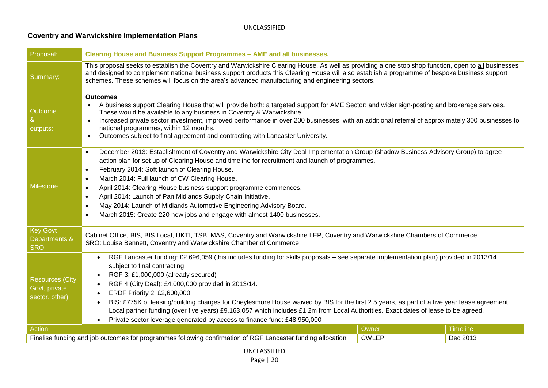# **Coventry and Warwickshire Implementation Plans**

| Proposal:                                           | <b>Clearing House and Business Support Programmes - AME and all businesses.</b>                                                                                                                                                                                                                                                                                                                                                                                                                                                                                                                                                                                                                            |       |                 |  |
|-----------------------------------------------------|------------------------------------------------------------------------------------------------------------------------------------------------------------------------------------------------------------------------------------------------------------------------------------------------------------------------------------------------------------------------------------------------------------------------------------------------------------------------------------------------------------------------------------------------------------------------------------------------------------------------------------------------------------------------------------------------------------|-------|-----------------|--|
| Summary:                                            | This proposal seeks to establish the Coventry and Warwickshire Clearing House. As well as providing a one stop shop function, open to all businesses<br>and designed to complement national business support products this Clearing House will also establish a programme of bespoke business support<br>schemes. These schemes will focus on the area's advanced manufacturing and engineering sectors.                                                                                                                                                                                                                                                                                                   |       |                 |  |
| Outcome<br>outputs:                                 | <b>Outcomes</b><br>A business support Clearing House that will provide both: a targeted support for AME Sector; and wider sign-posting and brokerage services.<br>These would be available to any business in Coventry & Warwickshire.<br>Increased private sector investment, improved performance in over 200 businesses, with an additional referral of approximately 300 businesses to<br>$\bullet$<br>national programmes, within 12 months.<br>Outcomes subject to final agreement and contracting with Lancaster University.                                                                                                                                                                        |       |                 |  |
| <b>Milestone</b>                                    | December 2013: Establishment of Coventry and Warwickshire City Deal Implementation Group (shadow Business Advisory Group) to agree<br>$\bullet$<br>action plan for set up of Clearing House and timeline for recruitment and launch of programmes.<br>February 2014: Soft launch of Clearing House.<br>$\bullet$<br>March 2014: Full launch of CW Clearing House.<br>$\bullet$<br>April 2014: Clearing House business support programme commences.<br>$\bullet$<br>April 2014: Launch of Pan Midlands Supply Chain Initiative.<br>$\bullet$<br>May 2014: Launch of Midlands Automotive Engineering Advisory Board.<br>$\bullet$<br>March 2015: Create 220 new jobs and engage with almost 1400 businesses. |       |                 |  |
| Key Govt<br>Departments &<br><b>SRO</b>             | Cabinet Office, BIS, BIS Local, UKTI, TSB, MAS, Coventry and Warwickshire LEP, Coventry and Warwickshire Chambers of Commerce<br>SRO: Louise Bennett, Coventry and Warwickshire Chamber of Commerce                                                                                                                                                                                                                                                                                                                                                                                                                                                                                                        |       |                 |  |
| Resources (City,<br>Govt, private<br>sector, other) | RGF Lancaster funding: £2,696,059 (this includes funding for skills proposals - see separate implementation plan) provided in 2013/14,<br>$\bullet$<br>subject to final contracting<br>RGF 3: £1,000,000 (already secured)<br>$\bullet$<br>RGF 4 (City Deal): £4,000,000 provided in 2013/14.<br>ERDF Priority 2: £2,600,000<br>BIS: £775K of leasing/building charges for Cheylesmore House waived by BIS for the first 2.5 years, as part of a five year lease agreement.<br>Local partner funding (over five years) £9,163,057 which includes £1.2m from Local Authorities. Exact dates of lease to be agreed.<br>Private sector leverage generated by access to finance fund: £48,950,000<br>$\bullet$ |       |                 |  |
| Action:                                             |                                                                                                                                                                                                                                                                                                                                                                                                                                                                                                                                                                                                                                                                                                            | Owner | <b>Timeline</b> |  |
|                                                     | Finalise funding and job outcomes for programmes following confirmation of RGF Lancaster funding allocation<br><b>CWLEP</b><br>Dec 2013                                                                                                                                                                                                                                                                                                                                                                                                                                                                                                                                                                    |       |                 |  |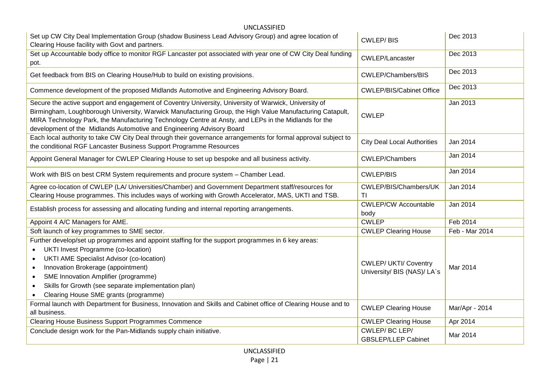| UNCLASSIFIED                                                                                                                                                                                                                                                                                                                                                                                       |                                             |                |  |  |
|----------------------------------------------------------------------------------------------------------------------------------------------------------------------------------------------------------------------------------------------------------------------------------------------------------------------------------------------------------------------------------------------------|---------------------------------------------|----------------|--|--|
| Set up CW City Deal Implementation Group (shadow Business Lead Advisory Group) and agree location of<br>Clearing House facility with Govt and partners.                                                                                                                                                                                                                                            | <b>CWLEP/BIS</b>                            | Dec 2013       |  |  |
| Set up Accountable body office to monitor RGF Lancaster pot associated with year one of CW City Deal funding<br>pot.                                                                                                                                                                                                                                                                               | CWLEP/Lancaster                             | Dec 2013       |  |  |
| Get feedback from BIS on Clearing House/Hub to build on existing provisions.                                                                                                                                                                                                                                                                                                                       | CWLEP/Chambers/BIS                          | Dec 2013       |  |  |
| Commence development of the proposed Midlands Automotive and Engineering Advisory Board.                                                                                                                                                                                                                                                                                                           | <b>CWLEP/BIS/Cabinet Office</b>             | Dec 2013       |  |  |
| Secure the active support and engagement of Coventry University, University of Warwick, University of<br>Birmingham, Loughborough University, Warwick Manufacturing Group, the High Value Manufacturing Catapult,<br>MIRA Technology Park, the Manufacturing Technology Centre at Ansty, and LEPs in the Midlands for the<br>development of the Midlands Automotive and Engineering Advisory Board | <b>CWLEP</b>                                | Jan 2013       |  |  |
| Each local authority to take CW City Deal through their governance arrangements for formal approval subject to<br>the conditional RGF Lancaster Business Support Programme Resources                                                                                                                                                                                                               | <b>City Deal Local Authorities</b>          | Jan 2014       |  |  |
| Appoint General Manager for CWLEP Clearing House to set up bespoke and all business activity.                                                                                                                                                                                                                                                                                                      | <b>CWLEP/Chambers</b>                       | Jan 2014       |  |  |
| Work with BIS on best CRM System requirements and procure system - Chamber Lead.                                                                                                                                                                                                                                                                                                                   | <b>CWLEP/BIS</b>                            | Jan 2014       |  |  |
| Agree co-location of CWLEP (LA/ Universities/Chamber) and Government Department staff/resources for<br>Clearing House programmes. This includes ways of working with Growth Accelerator, MAS, UKTI and TSB.                                                                                                                                                                                        | CWLEP/BIS/Chambers/UK<br>TI                 | Jan 2014       |  |  |
| Establish process for assessing and allocating funding and internal reporting arrangements.                                                                                                                                                                                                                                                                                                        | <b>CWLEP/CW Accountable</b><br>body         | Jan 2014       |  |  |
| Appoint 4 A/C Managers for AME.                                                                                                                                                                                                                                                                                                                                                                    | <b>CWLEP</b>                                | Feb 2014       |  |  |
| Soft launch of key programmes to SME sector.                                                                                                                                                                                                                                                                                                                                                       | <b>CWLEP Clearing House</b>                 | Feb - Mar 2014 |  |  |
| Further develop/set up programmes and appoint staffing for the support programmes in 6 key areas:                                                                                                                                                                                                                                                                                                  |                                             |                |  |  |
| <b>UKTI Invest Programme (co-location)</b>                                                                                                                                                                                                                                                                                                                                                         |                                             |                |  |  |
| <b>UKTI AME Specialist Advisor (co-location)</b>                                                                                                                                                                                                                                                                                                                                                   | <b>CWLEP/ UKTI/ Coventry</b>                |                |  |  |
| Innovation Brokerage (appointment)                                                                                                                                                                                                                                                                                                                                                                 | University/ BIS (NAS)/ LA`s                 | Mar 2014       |  |  |
| SME Innovation Amplifier (programme)<br>$\bullet$                                                                                                                                                                                                                                                                                                                                                  |                                             |                |  |  |
| Skills for Growth (see separate implementation plan)<br>$\bullet$                                                                                                                                                                                                                                                                                                                                  |                                             |                |  |  |
| Clearing House SME grants (programme)<br>$\bullet$                                                                                                                                                                                                                                                                                                                                                 |                                             |                |  |  |
| Formal launch with Department for Business, Innovation and Skills and Cabinet office of Clearing House and to                                                                                                                                                                                                                                                                                      | <b>CWLEP Clearing House</b>                 | Mar/Apr - 2014 |  |  |
| all business.                                                                                                                                                                                                                                                                                                                                                                                      |                                             |                |  |  |
| Clearing House Business Support Programmes Commence                                                                                                                                                                                                                                                                                                                                                | <b>CWLEP Clearing House</b>                 | Apr 2014       |  |  |
| Conclude design work for the Pan-Midlands supply chain initiative.                                                                                                                                                                                                                                                                                                                                 | CWLEP/BC LEP/<br><b>GBSLEP/LLEP Cabinet</b> | Mar 2014       |  |  |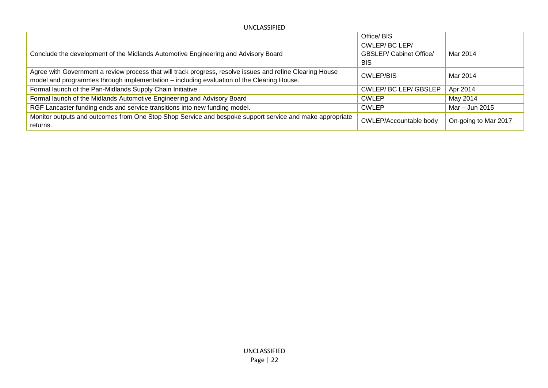| UNCLASSIFIED                                                                                                                                                                                           |                                                               |                      |
|--------------------------------------------------------------------------------------------------------------------------------------------------------------------------------------------------------|---------------------------------------------------------------|----------------------|
|                                                                                                                                                                                                        | Office/BIS                                                    |                      |
| Conclude the development of the Midlands Automotive Engineering and Advisory Board                                                                                                                     | CWLEP/BC LEP/<br><b>GBSLEP/ Cabinet Office/</b><br><b>BIS</b> | Mar 2014             |
| Agree with Government a review process that will track progress, resolve issues and refine Clearing House<br>model and programmes through implementation – including evaluation of the Clearing House. | CWLEP/BIS                                                     | Mar 2014             |
| Formal launch of the Pan-Midlands Supply Chain Initiative                                                                                                                                              | <b>CWLEP/BC LEP/GBSLEP</b>                                    | Apr 2014             |
| Formal launch of the Midlands Automotive Engineering and Advisory Board                                                                                                                                | <b>CWLEP</b>                                                  | May 2014             |
| RGF Lancaster funding ends and service transitions into new funding model.                                                                                                                             | <b>CWLEP</b>                                                  | Mar – Jun 2015       |
| Monitor outputs and outcomes from One Stop Shop Service and bespoke support service and make appropriate<br>returns.                                                                                   | CWLEP/Accountable body                                        | On-going to Mar 2017 |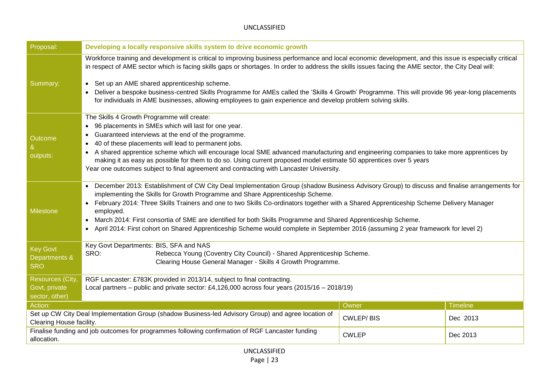| Proposal:                                                                                                                                   | Developing a locally responsive skills system to drive economic growth                                                                                                                                                                                                                                                                                                                                                                                                                                                                                                                                                                                                           |       |                 |
|---------------------------------------------------------------------------------------------------------------------------------------------|----------------------------------------------------------------------------------------------------------------------------------------------------------------------------------------------------------------------------------------------------------------------------------------------------------------------------------------------------------------------------------------------------------------------------------------------------------------------------------------------------------------------------------------------------------------------------------------------------------------------------------------------------------------------------------|-------|-----------------|
| Summary:                                                                                                                                    | Workforce training and development is critical to improving business performance and local economic development, and this issue is especially critical<br>in respect of AME sector which is facing skills gaps or shortages. In order to address the skills issues facing the AME sector, the City Deal will:<br>Set up an AME shared apprenticeship scheme.<br>$\bullet$<br>Deliver a bespoke business-centred Skills Programme for AMEs called the 'Skills 4 Growth' Programme. This will provide 96 year-long placements<br>for individuals in AME businesses, allowing employees to gain experience and develop problem solving skills.                                      |       |                 |
| Outcome<br>&<br>outputs:                                                                                                                    | The Skills 4 Growth Programme will create:<br>96 placements in SMEs which will last for one year.<br>Guaranteed interviews at the end of the programme.<br>40 of these placements will lead to permanent jobs.<br>A shared apprentice scheme which will encourage local SME advanced manufacturing and engineering companies to take more apprentices by<br>making it as easy as possible for them to do so. Using current proposed model estimate 50 apprentices over 5 years<br>Year one outcomes subject to final agreement and contracting with Lancaster University.                                                                                                        |       |                 |
| <b>Milestone</b>                                                                                                                            | December 2013: Establishment of CW City Deal Implementation Group (shadow Business Advisory Group) to discuss and finalise arrangements for<br>$\bullet$<br>implementing the Skills for Growth Programme and Share Apprenticeship Scheme.<br>February 2014: Three Skills Trainers and one to two Skills Co-ordinators together with a Shared Apprenticeship Scheme Delivery Manager<br>employed.<br>March 2014: First consortia of SME are identified for both Skills Programme and Shared Apprenticeship Scheme.<br>$\bullet$<br>April 2014: First cohort on Shared Apprenticeship Scheme would complete in September 2016 (assuming 2 year framework for level 2)<br>$\bullet$ |       |                 |
| <b>Key Govt</b><br>Departments &<br><b>SRO</b>                                                                                              | Key Govt Departments: BIS, SFA and NAS<br>SRO:<br>Rebecca Young (Coventry City Council) - Shared Apprenticeship Scheme.<br>Clearing House General Manager - Skills 4 Growth Programme.                                                                                                                                                                                                                                                                                                                                                                                                                                                                                           |       |                 |
| Resources (City,<br>Govt, private<br>sector, other)                                                                                         | RGF Lancaster: £783K provided in 2013/14, subject to final contracting.<br>Local partners – public and private sector: £4,126,000 across four years (2015/16 – 2018/19)                                                                                                                                                                                                                                                                                                                                                                                                                                                                                                          |       |                 |
| Action:                                                                                                                                     |                                                                                                                                                                                                                                                                                                                                                                                                                                                                                                                                                                                                                                                                                  | Owner | <b>Timeline</b> |
|                                                                                                                                             | Set up CW City Deal Implementation Group (shadow Business-led Advisory Group) and agree location of<br><b>CWLEP/BIS</b><br>Dec 2013<br>Clearing House facility.                                                                                                                                                                                                                                                                                                                                                                                                                                                                                                                  |       |                 |
| Finalise funding and job outcomes for programmes following confirmation of RGF Lancaster funding<br><b>CWLEP</b><br>Dec 2013<br>allocation. |                                                                                                                                                                                                                                                                                                                                                                                                                                                                                                                                                                                                                                                                                  |       |                 |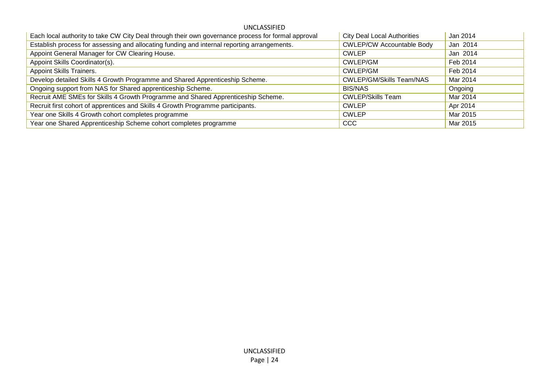| Each local authority to take CW City Deal through their own governance process for formal approval | <b>City Deal Local Authorities</b> | Jan 2014 |
|----------------------------------------------------------------------------------------------------|------------------------------------|----------|
| Establish process for assessing and allocating funding and internal reporting arrangements.        | <b>CWLEP/CW Accountable Body</b>   | Jan 2014 |
| Appoint General Manager for CW Clearing House.                                                     | <b>CWLEP</b>                       | Jan 2014 |
| Appoint Skills Coordinator(s).                                                                     | CWLEP/GM                           | Feb 2014 |
| Appoint Skills Trainers.                                                                           | <b>CWLEP/GM</b>                    | Feb 2014 |
| Develop detailed Skills 4 Growth Programme and Shared Apprenticeship Scheme.                       | <b>CWLEP/GM/Skills Team/NAS</b>    | Mar 2014 |
| Ongoing support from NAS for Shared apprenticeship Scheme.                                         | <b>BIS/NAS</b>                     | Ongoing  |
| Recruit AME SMEs for Skills 4 Growth Programme and Shared Apprenticeship Scheme.                   | <b>CWLEP/Skills Team</b>           | Mar 2014 |
| Recruit first cohort of apprentices and Skills 4 Growth Programme participants.                    | <b>CWLEP</b>                       | Apr 2014 |
| Year one Skills 4 Growth cohort completes programme                                                | <b>CWLEP</b>                       | Mar 2015 |
| Year one Shared Apprenticeship Scheme cohort completes programme                                   | <b>CCC</b>                         | Mar 2015 |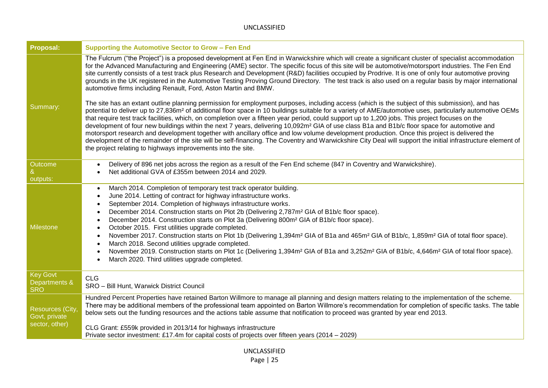| Proposal:                                      | Supporting the Automotive Sector to Grow - Fen End                                                                                                                                                                                                                                                                                                                                                                                                                                                                                                                                                                                                                                                                                                                                                                                                                                                                                                                                                                                                                                                                                                                                                                                                                                                                                            |
|------------------------------------------------|-----------------------------------------------------------------------------------------------------------------------------------------------------------------------------------------------------------------------------------------------------------------------------------------------------------------------------------------------------------------------------------------------------------------------------------------------------------------------------------------------------------------------------------------------------------------------------------------------------------------------------------------------------------------------------------------------------------------------------------------------------------------------------------------------------------------------------------------------------------------------------------------------------------------------------------------------------------------------------------------------------------------------------------------------------------------------------------------------------------------------------------------------------------------------------------------------------------------------------------------------------------------------------------------------------------------------------------------------|
| Summary:                                       | The Fulcrum ("the Project") is a proposed development at Fen End in Warwickshire which will create a significant cluster of specialist accommodation<br>for the Advanced Manufacturing and Engineering (AME) sector. The specific focus of this site will be automotive/motorsport industries. The Fen End<br>site currently consists of a test track plus Research and Development (R&D) facilities occupied by Prodrive. It is one of only four automotive proving<br>grounds in the UK registered in the Automotive Testing Proving Ground Directory. The test track is also used on a regular basis by major international<br>automotive firms including Renault, Ford, Aston Martin and BMW.<br>The site has an extant outline planning permission for employment purposes, including access (which is the subject of this submission), and has<br>potential to deliver up to 27,836m <sup>2</sup> of additional floor space in 10 buildings suitable for a variety of AME/automotive uses, particularly automotive OEMs<br>that require test track facilities, which, on completion over a fifteen year period, could support up to 1,200 jobs. This project focuses on the<br>development of four new buildings within the next 7 years, delivering 10,092m <sup>2</sup> GIA of use class B1a and B1b/c floor space for automotive and |
|                                                | motorsport research and development together with ancillary office and low volume development production. Once this project is delivered the<br>development of the remainder of the site will be self-financing. The Coventry and Warwickshire City Deal will support the initial infrastructure element of<br>the project relating to highways improvements into the site.                                                                                                                                                                                                                                                                                                                                                                                                                                                                                                                                                                                                                                                                                                                                                                                                                                                                                                                                                                   |
| Outcome<br>outputs:                            | Delivery of 896 net jobs across the region as a result of the Fen End scheme (847 in Coventry and Warwickshire).<br>$\bullet$<br>Net additional GVA of £355m between 2014 and 2029.                                                                                                                                                                                                                                                                                                                                                                                                                                                                                                                                                                                                                                                                                                                                                                                                                                                                                                                                                                                                                                                                                                                                                           |
| <b>Milestone</b>                               | March 2014. Completion of temporary test track operator building.<br>$\bullet$<br>June 2014. Letting of contract for highway infrastructure works.<br>September 2014. Completion of highways infrastructure works.<br>December 2014. Construction starts on Plot 2b (Delivering 2,787m <sup>2</sup> GIA of B1b/c floor space).<br>٠<br>December 2014. Construction starts on Plot 3a (Delivering 800m <sup>2</sup> GIA of B1b/c floor space).<br>٠<br>October 2015. First utilities upgrade completed.<br>$\bullet$<br>November 2017. Construction starts on Plot 1b (Delivering 1,394m <sup>2</sup> GIA of B1a and 465m <sup>2</sup> GIA of B1b/c, 1,859m <sup>2</sup> GIA of total floor space).<br>$\bullet$<br>March 2018. Second utilities upgrade completed.<br>-<br>November 2019. Construction starts on Plot 1c (Delivering 1,394m <sup>2</sup> GIA of B1a and 3,252m <sup>2</sup> GIA of B1b/c, 4,646m <sup>2</sup> GIA of total floor space).<br>$\bullet$<br>March 2020. Third utilities upgrade completed.                                                                                                                                                                                                                                                                                                                       |
| <b>Key Govt</b><br>Departments &<br><b>SRO</b> | <b>CLG</b><br>SRO - Bill Hunt, Warwick District Council                                                                                                                                                                                                                                                                                                                                                                                                                                                                                                                                                                                                                                                                                                                                                                                                                                                                                                                                                                                                                                                                                                                                                                                                                                                                                       |
| <b>Resources (City,</b><br>Govt, private       | Hundred Percent Properties have retained Barton Willmore to manage all planning and design matters relating to the implementation of the scheme.<br>There may be additional members of the professional team appointed on Barton Willmore's recommendation for completion of specific tasks. The table<br>below sets out the funding resources and the actions table assume that notification to proceed was granted by year end 2013.                                                                                                                                                                                                                                                                                                                                                                                                                                                                                                                                                                                                                                                                                                                                                                                                                                                                                                        |
| sector, other)                                 | CLG Grant: £559k provided in 2013/14 for highways infrastructure<br>Private sector investment: £17.4m for capital costs of projects over fifteen years (2014 – 2029)                                                                                                                                                                                                                                                                                                                                                                                                                                                                                                                                                                                                                                                                                                                                                                                                                                                                                                                                                                                                                                                                                                                                                                          |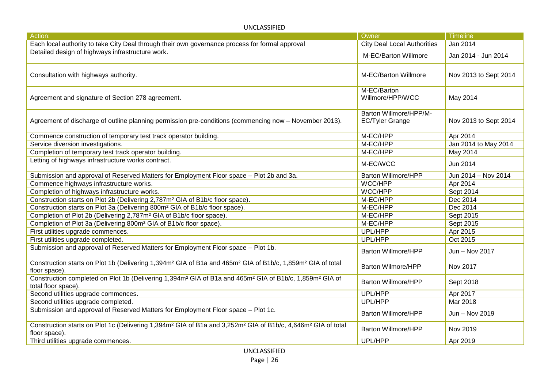| Action:                                                                                                                                                            | Owner                                            | <b>Timeline</b>       |
|--------------------------------------------------------------------------------------------------------------------------------------------------------------------|--------------------------------------------------|-----------------------|
| Each local authority to take City Deal through their own governance process for formal approval                                                                    | <b>City Deal Local Authorities</b>               | Jan 2014              |
| Detailed design of highways infrastructure work.                                                                                                                   | M-EC/Barton Willmore                             | Jan 2014 - Jun 2014   |
| Consultation with highways authority.                                                                                                                              | M-EC/Barton Willmore                             | Nov 2013 to Sept 2014 |
| Agreement and signature of Section 278 agreement.                                                                                                                  | M-EC/Barton<br>Willmore/HPP/WCC                  | May 2014              |
| Agreement of discharge of outline planning permission pre-conditions (commencing now - November 2013).                                                             | Barton Willmore/HPP/M-<br><b>EC/Tyler Grange</b> | Nov 2013 to Sept 2014 |
| Commence construction of temporary test track operator building.                                                                                                   | M-EC/HPP                                         | Apr 2014              |
| Service diversion investigations.                                                                                                                                  | M-EC/HPP                                         | Jan 2014 to May 2014  |
| Completion of temporary test track operator building.                                                                                                              | M-EC/HPP                                         | May 2014              |
| Letting of highways infrastructure works contract.                                                                                                                 | M-EC/WCC                                         | Jun 2014              |
| Submission and approval of Reserved Matters for Employment Floor space - Plot 2b and 3a.                                                                           | Barton Willmore/HPP                              | Jun 2014 - Nov 2014   |
| Commence highways infrastructure works.                                                                                                                            | WCC/HPP                                          | Apr 2014              |
| Completion of highways infrastructure works.                                                                                                                       | WCC/HPP                                          | Sept 2014             |
| Construction starts on Plot 2b (Delivering 2,787m <sup>2</sup> GIA of B1b/c floor space).                                                                          | M-EC/HPP                                         | Dec 2014              |
| Construction starts on Plot 3a (Delivering 800m <sup>2</sup> GIA of B1b/c floor space).                                                                            | M-EC/HPP                                         | Dec 2014              |
| Completion of Plot 2b (Delivering 2,787m <sup>2</sup> GIA of B1b/c floor space).                                                                                   | M-EC/HPP                                         | Sept 2015             |
| Completion of Plot 3a (Delivering 800m <sup>2</sup> GIA of B1b/c floor space).                                                                                     | M-EC/HPP                                         | Sept 2015             |
| First utilities upgrade commences.                                                                                                                                 | UPL/HPP                                          | Apr 2015              |
| First utilities upgrade completed.                                                                                                                                 | UPL/HPP                                          | Oct 2015              |
| Submission and approval of Reserved Matters for Employment Floor space - Plot 1b.                                                                                  | <b>Barton Willmore/HPP</b>                       | Jun - Nov 2017        |
| Construction starts on Plot 1b (Delivering 1,394m <sup>2</sup> GIA of B1a and 465m <sup>2</sup> GIA of B1b/c, 1,859m <sup>2</sup> GIA of total<br>floor space).    | <b>Barton Wilmore/HPP</b>                        | Nov 2017              |
| Construction completed on Plot 1b (Delivering 1,394m <sup>2</sup> GIA of B1a and 465m <sup>2</sup> GIA of B1b/c, 1,859m <sup>2</sup> GIA of<br>total floor space). | <b>Barton Willmore/HPP</b>                       | Sept 2018             |
| Second utilities upgrade commences.                                                                                                                                | UPL/HPP                                          | Apr 2017              |
| Second utilities upgrade completed.                                                                                                                                | UPL/HPP                                          | Mar 2018              |
| Submission and approval of Reserved Matters for Employment Floor space - Plot 1c.                                                                                  | <b>Barton Willmore/HPP</b>                       | Jun - Nov 2019        |
| Construction starts on Plot 1c (Delivering 1,394m <sup>2</sup> GIA of B1a and 3,252m <sup>2</sup> GIA of B1b/c, 4,646m <sup>2</sup> GIA of total<br>floor space).  | <b>Barton Willmore/HPP</b>                       | Nov 2019              |
| Third utilities upgrade commences.                                                                                                                                 | UPL/HPP                                          | Apr 2019              |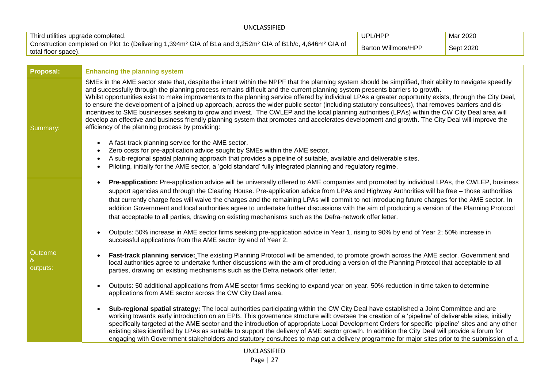| UNCLASSIFIED                                                                                                                                                         |                     |           |  |
|----------------------------------------------------------------------------------------------------------------------------------------------------------------------|---------------------|-----------|--|
| Third utilities upgrade completed.                                                                                                                                   | UPL/HPP             | Mar 2020  |  |
| Construction completed on Plot 1c (Delivering 1,394m <sup>2</sup> GIA of B1a and 3,252m <sup>2</sup> GIA of B1b/c, 4,646m <sup>2</sup> GIA of<br>total floor space). | Barton Willmore/HPP | Sept 2020 |  |

| <b>Proposal:</b>    | <b>Enhancing the planning system</b>                                                                                                                                                                                                                                                                                                                                                                                                                                                                                                                                                                                                                                                                                                                                                                                                                                                                                                                              |  |  |
|---------------------|-------------------------------------------------------------------------------------------------------------------------------------------------------------------------------------------------------------------------------------------------------------------------------------------------------------------------------------------------------------------------------------------------------------------------------------------------------------------------------------------------------------------------------------------------------------------------------------------------------------------------------------------------------------------------------------------------------------------------------------------------------------------------------------------------------------------------------------------------------------------------------------------------------------------------------------------------------------------|--|--|
| Summary:            | SMEs in the AME sector state that, despite the intent within the NPPF that the planning system should be simplified, their ability to navigate speedily<br>and successfully through the planning process remains difficult and the current planning system presents barriers to growth.<br>Whilst opportunities exist to make improvements to the planning service offered by individual LPAs a greater opportunity exists, through the City Deal,<br>to ensure the development of a joined up approach, across the wider public sector (including statutory consultees), that removes barriers and dis-<br>incentives to SME businesses seeking to grow and invest. The CWLEP and the local planning authorities (LPAs) within the CW City Deal area will<br>develop an effective and business friendly planning system that promotes and accelerates development and growth. The City Deal will improve the<br>efficiency of the planning process by providing: |  |  |
|                     | A fast-track planning service for the AME sector.                                                                                                                                                                                                                                                                                                                                                                                                                                                                                                                                                                                                                                                                                                                                                                                                                                                                                                                 |  |  |
|                     | Zero costs for pre-application advice sought by SMEs within the AME sector.                                                                                                                                                                                                                                                                                                                                                                                                                                                                                                                                                                                                                                                                                                                                                                                                                                                                                       |  |  |
|                     | A sub-regional spatial planning approach that provides a pipeline of suitable, available and deliverable sites.<br>Piloting, initially for the AME sector, a 'gold standard' fully integrated planning and regulatory regime.                                                                                                                                                                                                                                                                                                                                                                                                                                                                                                                                                                                                                                                                                                                                     |  |  |
|                     |                                                                                                                                                                                                                                                                                                                                                                                                                                                                                                                                                                                                                                                                                                                                                                                                                                                                                                                                                                   |  |  |
|                     | Pre-application: Pre-application advice will be universally offered to AME companies and promoted by individual LPAs, the CWLEP, business<br>$\bullet$<br>support agencies and through the Clearing House. Pre-application advice from LPAs and Highway Authorities will be free - those authorities<br>that currently charge fees will waive the charges and the remaining LPAs will commit to not introducing future charges for the AME sector. In<br>addition Government and local authorities agree to undertake further discussions with the aim of producing a version of the Planning Protocol<br>that acceptable to all parties, drawing on existing mechanisms such as the Defra-network offer letter.                                                                                                                                                                                                                                                  |  |  |
|                     | Outputs: 50% increase in AME sector firms seeking pre-application advice in Year 1, rising to 90% by end of Year 2; 50% increase in<br>successful applications from the AME sector by end of Year 2.                                                                                                                                                                                                                                                                                                                                                                                                                                                                                                                                                                                                                                                                                                                                                              |  |  |
| Outcome<br>outputs: | Fast-track planning service: The existing Planning Protocol will be amended, to promote growth across the AME sector. Government and<br>local authorities agree to undertake further discussions with the aim of producing a version of the Planning Protocol that acceptable to all<br>parties, drawing on existing mechanisms such as the Defra-network offer letter.                                                                                                                                                                                                                                                                                                                                                                                                                                                                                                                                                                                           |  |  |
|                     | Outputs: 50 additional applications from AME sector firms seeking to expand year on year. 50% reduction in time taken to determine<br>applications from AME sector across the CW City Deal area.                                                                                                                                                                                                                                                                                                                                                                                                                                                                                                                                                                                                                                                                                                                                                                  |  |  |
|                     | Sub-regional spatial strategy: The local authorities participating within the CW City Deal have established a Joint Committee and are<br>working towards early introduction on an EPB. This governance structure will: oversee the creation of a 'pipeline' of deliverable sites, initially<br>specifically targeted at the AME sector and the introduction of appropriate Local Development Orders for specific 'pipeline' sites and any other<br>existing sites identified by LPAs as suitable to support the delivery of AME sector growth. In addition the City Deal will provide a forum for<br>engaging with Government stakeholders and statutory consultees to map out a delivery programme for major sites prior to the submission of a                                                                                                                                                                                                                  |  |  |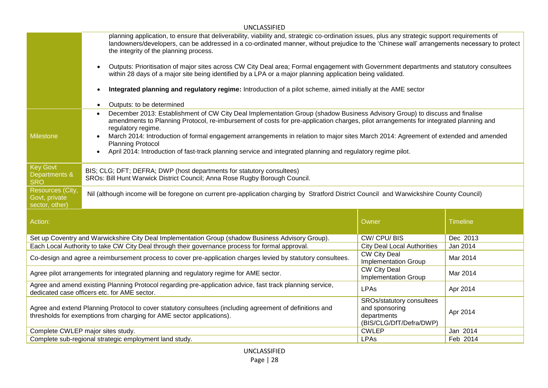|                                                                                                                                                                               | <b>UNCLASSIFIED</b>                                                                                                                                                                                                                                                                                                                                                                                                                                                                                                                                                                                                |                                                                                       |          |  |  |
|-------------------------------------------------------------------------------------------------------------------------------------------------------------------------------|--------------------------------------------------------------------------------------------------------------------------------------------------------------------------------------------------------------------------------------------------------------------------------------------------------------------------------------------------------------------------------------------------------------------------------------------------------------------------------------------------------------------------------------------------------------------------------------------------------------------|---------------------------------------------------------------------------------------|----------|--|--|
|                                                                                                                                                                               | planning application, to ensure that deliverability, viability and, strategic co-ordination issues, plus any strategic support requirements of<br>landowners/developers, can be addressed in a co-ordinated manner, without prejudice to the 'Chinese wall' arrangements necessary to protect<br>the integrity of the planning process.                                                                                                                                                                                                                                                                            |                                                                                       |          |  |  |
|                                                                                                                                                                               | Outputs: Prioritisation of major sites across CW City Deal area; Formal engagement with Government departments and statutory consultees<br>$\bullet$<br>within 28 days of a major site being identified by a LPA or a major planning application being validated.                                                                                                                                                                                                                                                                                                                                                  |                                                                                       |          |  |  |
|                                                                                                                                                                               | Integrated planning and regulatory regime: Introduction of a pilot scheme, aimed initially at the AME sector<br>$\bullet$                                                                                                                                                                                                                                                                                                                                                                                                                                                                                          |                                                                                       |          |  |  |
|                                                                                                                                                                               | Outputs: to be determined<br>$\bullet$                                                                                                                                                                                                                                                                                                                                                                                                                                                                                                                                                                             |                                                                                       |          |  |  |
| <b>Milestone</b>                                                                                                                                                              | December 2013: Establishment of CW City Deal Implementation Group (shadow Business Advisory Group) to discuss and finalise<br>$\bullet$<br>amendments to Planning Protocol, re-imbursement of costs for pre-application charges, pilot arrangements for integrated planning and<br>regulatory regime.<br>March 2014: Introduction of formal engagement arrangements in relation to major sites March 2014: Agreement of extended and amended<br>$\bullet$<br><b>Planning Protocol</b><br>April 2014: Introduction of fast-track planning service and integrated planning and regulatory regime pilot.<br>$\bullet$ |                                                                                       |          |  |  |
| <b>Key Govt</b><br>Departments &<br><b>SRO</b>                                                                                                                                | BIS; CLG; DFT; DEFRA; DWP (host departments for statutory consultees)<br>SROs: Bill Hunt Warwick District Council; Anna Rose Rugby Borough Council.                                                                                                                                                                                                                                                                                                                                                                                                                                                                |                                                                                       |          |  |  |
| Resources (City,<br>Govt, private<br>sector, other)                                                                                                                           | Nil (although income will be foregone on current pre-application charging by Stratford District Council and Warwickshire County Council)                                                                                                                                                                                                                                                                                                                                                                                                                                                                           |                                                                                       |          |  |  |
| Action:                                                                                                                                                                       | Owner<br><b>Timeline</b>                                                                                                                                                                                                                                                                                                                                                                                                                                                                                                                                                                                           |                                                                                       |          |  |  |
|                                                                                                                                                                               | Set up Coventry and Warwickshire City Deal Implementation Group (shadow Business Advisory Group).                                                                                                                                                                                                                                                                                                                                                                                                                                                                                                                  | CW/CPU/BIS                                                                            | Dec 2013 |  |  |
|                                                                                                                                                                               | Each Local Authority to take CW City Deal through their governance process for formal approval.                                                                                                                                                                                                                                                                                                                                                                                                                                                                                                                    | <b>City Deal Local Authorities</b>                                                    | Jan 2014 |  |  |
|                                                                                                                                                                               | <b>CW City Deal</b><br>Co-design and agree a reimbursement process to cover pre-application charges levied by statutory consultees.<br>Mar 2014<br><b>Implementation Group</b>                                                                                                                                                                                                                                                                                                                                                                                                                                     |                                                                                       |          |  |  |
|                                                                                                                                                                               | <b>CW City Deal</b><br>Agree pilot arrangements for integrated planning and regulatory regime for AME sector.<br>Mar 2014<br><b>Implementation Group</b>                                                                                                                                                                                                                                                                                                                                                                                                                                                           |                                                                                       |          |  |  |
| Agree and amend existing Planning Protocol regarding pre-application advice, fast track planning service,<br>LPAs<br>Apr 2014<br>dedicated case officers etc. for AME sector. |                                                                                                                                                                                                                                                                                                                                                                                                                                                                                                                                                                                                                    |                                                                                       |          |  |  |
|                                                                                                                                                                               | Agree and extend Planning Protocol to cover statutory consultees (including agreement of definitions and<br>thresholds for exemptions from charging for AME sector applications).                                                                                                                                                                                                                                                                                                                                                                                                                                  | SROs/statutory consultees<br>and sponsoring<br>departments<br>(BIS/CLG/DfT/Defra/DWP) | Apr 2014 |  |  |
|                                                                                                                                                                               | Complete CWLEP major sites study.<br><b>CWLEP</b><br>Jan 2014                                                                                                                                                                                                                                                                                                                                                                                                                                                                                                                                                      |                                                                                       |          |  |  |
|                                                                                                                                                                               | <b>LPAs</b><br>Complete sub-regional strategic employment land study.<br>Feb 2014                                                                                                                                                                                                                                                                                                                                                                                                                                                                                                                                  |                                                                                       |          |  |  |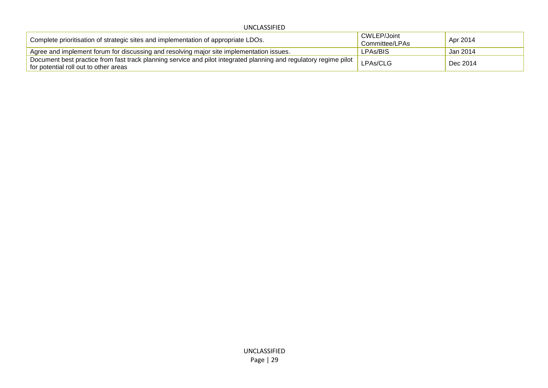UNCLASSIFIED

| Complete prioritisation of strategic sites and implementation of appropriate LDOs.                                                                         | CWLEP/Joint<br>Committee/LPAs | Apr 2014 |
|------------------------------------------------------------------------------------------------------------------------------------------------------------|-------------------------------|----------|
| Agree and implement forum for discussing and resolving major site implementation issues.                                                                   | LPAs/BIS                      | Jan 2014 |
| Document best practice from fast track planning service and pilot integrated planning and regulatory regime pilot<br>for potential roll out to other areas | LPAs/CLG                      | Dec 2014 |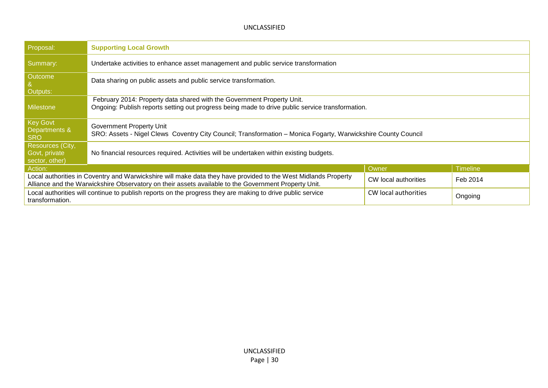| Proposal:                                                                                                                                                                                                                                                  | <b>Supporting Local Growth</b>                                                                                                                                             |  |  |
|------------------------------------------------------------------------------------------------------------------------------------------------------------------------------------------------------------------------------------------------------------|----------------------------------------------------------------------------------------------------------------------------------------------------------------------------|--|--|
| Summary:                                                                                                                                                                                                                                                   | Undertake activities to enhance asset management and public service transformation                                                                                         |  |  |
| Outcome<br>Outputs:                                                                                                                                                                                                                                        | Data sharing on public assets and public service transformation.                                                                                                           |  |  |
| <b>Milestone</b>                                                                                                                                                                                                                                           | February 2014: Property data shared with the Government Property Unit.<br>Ongoing: Publish reports setting out progress being made to drive public service transformation. |  |  |
| <b>Key Govt</b><br>Departments &<br><b>SRO</b>                                                                                                                                                                                                             | Government Property Unit<br>SRO: Assets - Nigel Clews Coventry City Council; Transformation - Monica Fogarty, Warwickshire County Council                                  |  |  |
| Resources (City,<br>Govt, private<br>sector, other)                                                                                                                                                                                                        | No financial resources required. Activities will be undertaken within existing budgets.                                                                                    |  |  |
| Action:                                                                                                                                                                                                                                                    | <b>Timeline</b><br>Owner                                                                                                                                                   |  |  |
| Local authorities in Coventry and Warwickshire will make data they have provided to the West Midlands Property<br>CW local authorities<br>Feb 2014<br>Alliance and the Warwickshire Observatory on their assets available to the Government Property Unit. |                                                                                                                                                                            |  |  |
| Local authorities will continue to publish reports on the progress they are making to drive public service<br>CW local authorities<br>Ongoing<br>transformation.                                                                                           |                                                                                                                                                                            |  |  |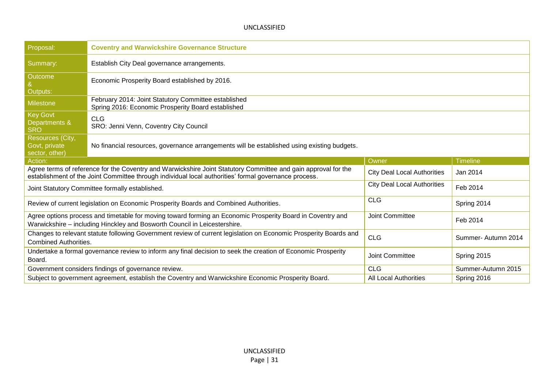| Proposal:                                                                                                                                                                                                                                                                 | <b>Coventry and Warwickshire Governance Structure</b>                                                                                                                                   |                                    |                    |
|---------------------------------------------------------------------------------------------------------------------------------------------------------------------------------------------------------------------------------------------------------------------------|-----------------------------------------------------------------------------------------------------------------------------------------------------------------------------------------|------------------------------------|--------------------|
| Summary:                                                                                                                                                                                                                                                                  | Establish City Deal governance arrangements.                                                                                                                                            |                                    |                    |
| Outcome<br>Outputs:                                                                                                                                                                                                                                                       | Economic Prosperity Board established by 2016.                                                                                                                                          |                                    |                    |
| <b>Milestone</b>                                                                                                                                                                                                                                                          | February 2014: Joint Statutory Committee established<br>Spring 2016: Economic Prosperity Board established                                                                              |                                    |                    |
| <b>Key Govt</b><br>Departments &<br><b>SRO</b>                                                                                                                                                                                                                            | <b>CLG</b><br>SRO: Jenni Venn, Coventry City Council                                                                                                                                    |                                    |                    |
| Resources (City,<br>Govt, private<br>sector, other)                                                                                                                                                                                                                       | No financial resources, governance arrangements will be established using existing budgets.                                                                                             |                                    |                    |
| Owner<br><b>Timeline</b><br>Action:                                                                                                                                                                                                                                       |                                                                                                                                                                                         |                                    |                    |
| Agree terms of reference for the Coventry and Warwickshire Joint Statutory Committee and gain approval for the<br><b>City Deal Local Authorities</b><br>Jan 2014<br>establishment of the Joint Committee through individual local authorities' formal governance process. |                                                                                                                                                                                         |                                    |                    |
|                                                                                                                                                                                                                                                                           |                                                                                                                                                                                         |                                    |                    |
|                                                                                                                                                                                                                                                                           | Joint Statutory Committee formally established.                                                                                                                                         | <b>City Deal Local Authorities</b> | Feb 2014           |
|                                                                                                                                                                                                                                                                           | Review of current legislation on Economic Prosperity Boards and Combined Authorities.                                                                                                   | <b>CLG</b>                         | Spring 2014        |
|                                                                                                                                                                                                                                                                           | Agree options process and timetable for moving toward forming an Economic Prosperity Board in Coventry and<br>Warwickshire - including Hinckley and Bosworth Council in Leicestershire. | Joint Committee                    | Feb 2014           |
| <b>Combined Authorities.</b>                                                                                                                                                                                                                                              | Changes to relevant statute following Government review of current legislation on Economic Prosperity Boards and                                                                        | <b>CLG</b>                         | Summer-Autumn 2014 |
| Board.                                                                                                                                                                                                                                                                    | Undertake a formal governance review to inform any final decision to seek the creation of Economic Prosperity                                                                           | Joint Committee                    | Spring 2015        |
|                                                                                                                                                                                                                                                                           | Government considers findings of governance review.                                                                                                                                     | <b>CLG</b>                         | Summer-Autumn 2015 |